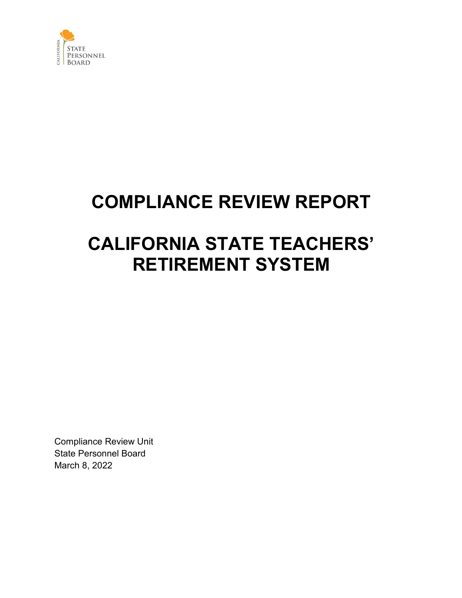

# **COMPLIANCE REVIEW REPORT**

# **CALIFORNIA STATE TEACHERS' RETIREMENT SYSTEM**

Compliance Review Unit State Personnel Board March 8, 2022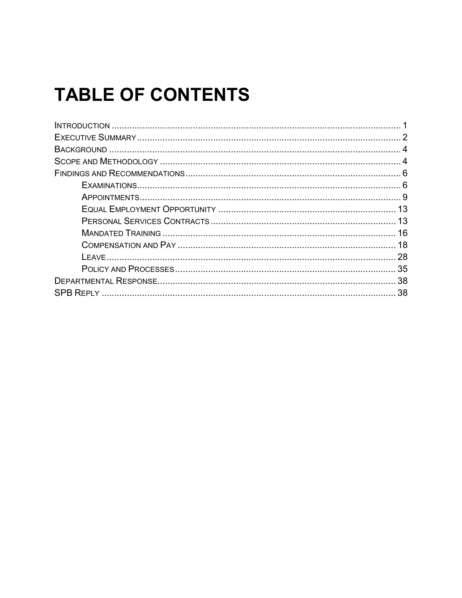# **TABLE OF CONTENTS**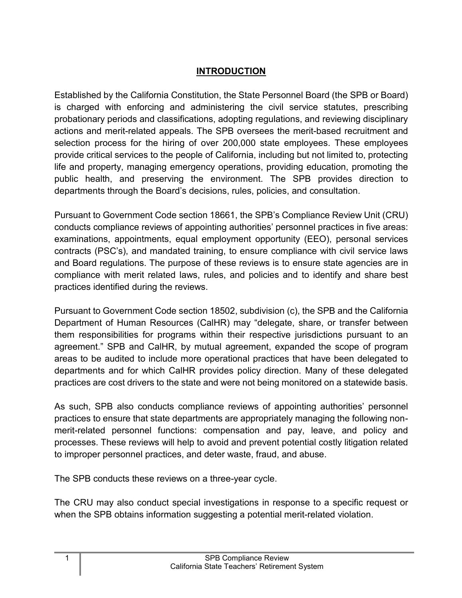## **INTRODUCTION**

<span id="page-2-0"></span>Established by the California Constitution, the State Personnel Board (the SPB or Board) is charged with enforcing and administering the civil service statutes, prescribing probationary periods and classifications, adopting regulations, and reviewing disciplinary actions and merit-related appeals. The SPB oversees the merit-based recruitment and selection process for the hiring of over 200,000 state employees. These employees provide critical services to the people of California, including but not limited to, protecting life and property, managing emergency operations, providing education, promoting the public health, and preserving the environment. The SPB provides direction to departments through the Board's decisions, rules, policies, and consultation.

Pursuant to Government Code section 18661, the SPB's Compliance Review Unit (CRU) conducts compliance reviews of appointing authorities' personnel practices in five areas: examinations, appointments, equal employment opportunity (EEO), personal services contracts (PSC's), and mandated training, to ensure compliance with civil service laws and Board regulations. The purpose of these reviews is to ensure state agencies are in compliance with merit related laws, rules, and policies and to identify and share best practices identified during the reviews.

Pursuant to Government Code section 18502, subdivision (c), the SPB and the California Department of Human Resources (CalHR) may "delegate, share, or transfer between them responsibilities for programs within their respective jurisdictions pursuant to an agreement." SPB and CalHR, by mutual agreement, expanded the scope of program areas to be audited to include more operational practices that have been delegated to departments and for which CalHR provides policy direction. Many of these delegated practices are cost drivers to the state and were not being monitored on a statewide basis.

As such, SPB also conducts compliance reviews of appointing authorities' personnel practices to ensure that state departments are appropriately managing the following nonmerit-related personnel functions: compensation and pay, leave, and policy and processes. These reviews will help to avoid and prevent potential costly litigation related to improper personnel practices, and deter waste, fraud, and abuse.

The SPB conducts these reviews on a three-year cycle.

The CRU may also conduct special investigations in response to a specific request or when the SPB obtains information suggesting a potential merit-related violation.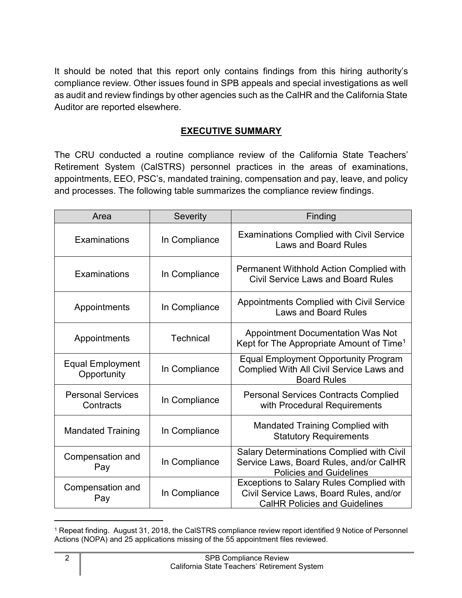It should be noted that this report only contains findings from this hiring authority's compliance review. Other issues found in SPB appeals and special investigations as well as audit and review findings by other agencies such as the CalHR and the California State Auditor are reported elsewhere.

## **EXECUTIVE SUMMARY**

<span id="page-3-0"></span>The CRU conducted a routine compliance review of the California State Teachers' Retirement System (CalSTRS) personnel practices in the areas of examinations, appointments, EEO, PSC's, mandated training, compensation and pay, leave, and policy and processes. The following table summarizes the compliance review findings.

| Area                                   | Severity         | Finding                                                                                                                            |
|----------------------------------------|------------------|------------------------------------------------------------------------------------------------------------------------------------|
| Examinations                           | In Compliance    | <b>Examinations Complied with Civil Service</b><br><b>Laws and Board Rules</b>                                                     |
| Examinations                           | In Compliance    | Permanent Withhold Action Complied with<br><b>Civil Service Laws and Board Rules</b>                                               |
| Appointments                           | In Compliance    | <b>Appointments Complied with Civil Service</b><br><b>Laws and Board Rules</b>                                                     |
| Appointments                           | <b>Technical</b> | <b>Appointment Documentation Was Not</b><br>Kept for The Appropriate Amount of Time <sup>1</sup>                                   |
| <b>Equal Employment</b><br>Opportunity | In Compliance    | <b>Equal Employment Opportunity Program</b><br>Complied With All Civil Service Laws and<br><b>Board Rules</b>                      |
| <b>Personal Services</b><br>Contracts  | In Compliance    | <b>Personal Services Contracts Complied</b><br>with Procedural Requirements                                                        |
| <b>Mandated Training</b>               | In Compliance    | <b>Mandated Training Complied with</b><br><b>Statutory Requirements</b>                                                            |
| Compensation and<br>Pay                | In Compliance    | <b>Salary Determinations Complied with Civil</b><br>Service Laws, Board Rules, and/or CalHR<br><b>Policies and Guidelines</b>      |
| Compensation and<br>Pay                | In Compliance    | <b>Exceptions to Salary Rules Complied with</b><br>Civil Service Laws, Board Rules, and/or<br><b>CalHR Policies and Guidelines</b> |

<span id="page-3-1"></span><sup>1</sup> Repeat finding. August 31, 2018, the CalSTRS compliance review report identified 9 Notice of Personnel Actions (NOPA) and 25 applications missing of the 55 appointment files reviewed.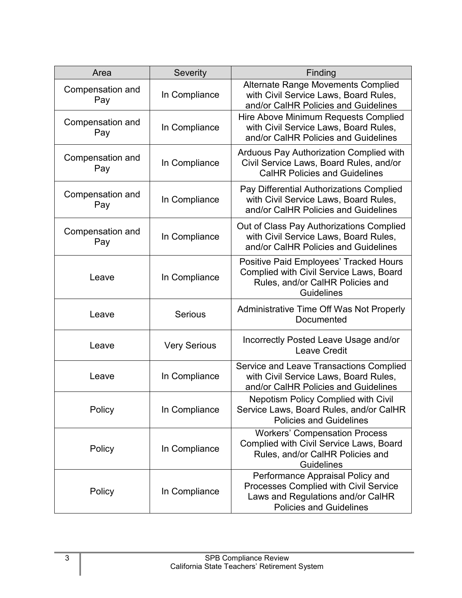| Area                    | <b>Severity</b><br>Finding |                                                                                                                                                  |
|-------------------------|----------------------------|--------------------------------------------------------------------------------------------------------------------------------------------------|
| Compensation and<br>Pay | In Compliance              | <b>Alternate Range Movements Complied</b><br>with Civil Service Laws, Board Rules,<br>and/or CalHR Policies and Guidelines                       |
| Compensation and<br>Pay | In Compliance              | Hire Above Minimum Requests Complied<br>with Civil Service Laws, Board Rules,<br>and/or CalHR Policies and Guidelines                            |
| Compensation and<br>Pay | In Compliance              | Arduous Pay Authorization Complied with<br>Civil Service Laws, Board Rules, and/or<br><b>CalHR Policies and Guidelines</b>                       |
| Compensation and<br>Pay | In Compliance              | Pay Differential Authorizations Complied<br>with Civil Service Laws, Board Rules,<br>and/or CalHR Policies and Guidelines                        |
| Compensation and<br>Pay | In Compliance              | Out of Class Pay Authorizations Complied<br>with Civil Service Laws, Board Rules,<br>and/or CalHR Policies and Guidelines                        |
| Leave                   | In Compliance              | Positive Paid Employees' Tracked Hours<br>Complied with Civil Service Laws, Board<br>Rules, and/or CalHR Policies and<br><b>Guidelines</b>       |
| Leave                   | <b>Serious</b>             | <b>Administrative Time Off Was Not Properly</b><br>Documented                                                                                    |
| Leave                   | <b>Very Serious</b>        | Incorrectly Posted Leave Usage and/or<br><b>Leave Credit</b>                                                                                     |
| Leave                   | In Compliance              | Service and Leave Transactions Complied<br>with Civil Service Laws, Board Rules,<br>and/or CalHR Policies and Guidelines                         |
| Policy                  | In Compliance              | <b>Nepotism Policy Complied with Civil</b><br>Service Laws, Board Rules, and/or CalHR<br><b>Policies and Guidelines</b>                          |
| Policy                  | In Compliance              | <b>Workers' Compensation Process</b><br><b>Complied with Civil Service Laws, Board</b><br>Rules, and/or CalHR Policies and<br><b>Guidelines</b>  |
| Policy                  | In Compliance              | Performance Appraisal Policy and<br>Processes Complied with Civil Service<br>Laws and Regulations and/or CalHR<br><b>Policies and Guidelines</b> |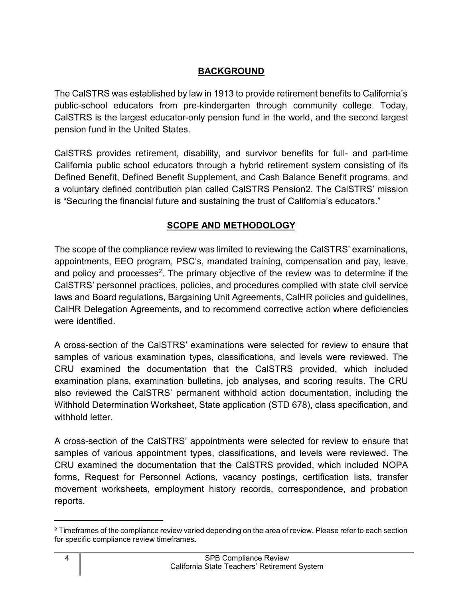# **BACKGROUND**

<span id="page-5-0"></span>The CalSTRS was established by law in 1913 to provide retirement benefits to California's public-school educators from pre-kindergarten through community college. Today, CalSTRS is the largest educator-only pension fund in the world, and the second largest pension fund in the United States.

CalSTRS provides retirement, disability, and survivor benefits for full- and part-time California public school educators through a hybrid retirement system consisting of its Defined Benefit, Defined Benefit Supplement, and Cash Balance Benefit programs, and a voluntary defined contribution plan called CalSTRS Pension2. The CalSTRS' mission is "Securing the financial future and sustaining the trust of California's educators."

# **SCOPE AND METHODOLOGY**

<span id="page-5-1"></span>The scope of the compliance review was limited to reviewing the CalSTRS' examinations, appointments, EEO program, PSC's, mandated training, compensation and pay, leave, and policy and processes<sup>[2](#page-5-2)</sup>. The primary objective of the review was to determine if the CalSTRS' personnel practices, policies, and procedures complied with state civil service laws and Board regulations, Bargaining Unit Agreements, CalHR policies and guidelines, CalHR Delegation Agreements, and to recommend corrective action where deficiencies were identified.

A cross-section of the CalSTRS' examinations were selected for review to ensure that samples of various examination types, classifications, and levels were reviewed. The CRU examined the documentation that the CalSTRS provided, which included examination plans, examination bulletins, job analyses, and scoring results. The CRU also reviewed the CalSTRS' permanent withhold action documentation, including the Withhold Determination Worksheet, State application (STD 678), class specification, and withhold letter.

A cross-section of the CalSTRS' appointments were selected for review to ensure that samples of various appointment types, classifications, and levels were reviewed. The CRU examined the documentation that the CalSTRS provided, which included NOPA forms, Request for Personnel Actions, vacancy postings, certification lists, transfer movement worksheets, employment history records, correspondence, and probation reports.

<span id="page-5-2"></span><sup>&</sup>lt;sup>2</sup> Timeframes of the compliance review varied depending on the area of review. Please refer to each section for specific compliance review timeframes.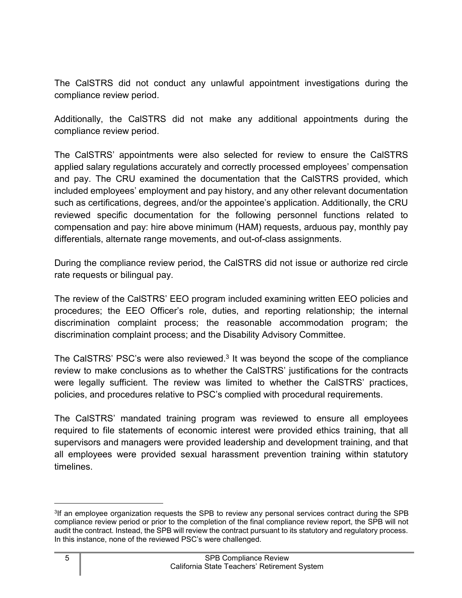The CalSTRS did not conduct any unlawful appointment investigations during the compliance review period.

Additionally, the CalSTRS did not make any additional appointments during the compliance review period.

The CalSTRS' appointments were also selected for review to ensure the CalSTRS applied salary regulations accurately and correctly processed employees' compensation and pay. The CRU examined the documentation that the CalSTRS provided, which included employees' employment and pay history, and any other relevant documentation such as certifications, degrees, and/or the appointee's application. Additionally, the CRU reviewed specific documentation for the following personnel functions related to compensation and pay: hire above minimum (HAM) requests, arduous pay, monthly pay differentials, alternate range movements, and out-of-class assignments.

During the compliance review period, the CalSTRS did not issue or authorize red circle rate requests or bilingual pay.

The review of the CalSTRS' EEO program included examining written EEO policies and procedures; the EEO Officer's role, duties, and reporting relationship; the internal discrimination complaint process; the reasonable accommodation program; the discrimination complaint process; and the Disability Advisory Committee.

The CaISTRS' PSC's were also reviewed. $3$  It was beyond the scope of the compliance review to make conclusions as to whether the CalSTRS' justifications for the contracts were legally sufficient. The review was limited to whether the CalSTRS' practices, policies, and procedures relative to PSC's complied with procedural requirements.

The CalSTRS' mandated training program was reviewed to ensure all employees required to file statements of economic interest were provided ethics training, that all supervisors and managers were provided leadership and development training, and that all employees were provided sexual harassment prevention training within statutory timelines.

<span id="page-6-0"></span><sup>3</sup> If an employee organization requests the SPB to review any personal services contract during the SPB compliance review period or prior to the completion of the final compliance review report, the SPB will not audit the contract. Instead, the SPB will review the contract pursuant to its statutory and regulatory process. In this instance, none of the reviewed PSC's were challenged.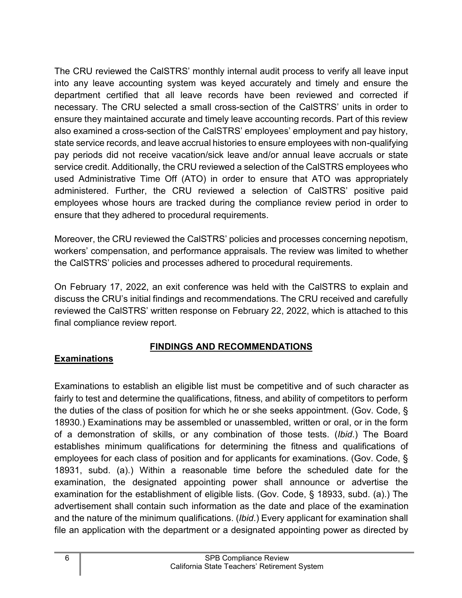The CRU reviewed the CalSTRS' monthly internal audit process to verify all leave input into any leave accounting system was keyed accurately and timely and ensure the department certified that all leave records have been reviewed and corrected if necessary. The CRU selected a small cross-section of the CalSTRS' units in order to ensure they maintained accurate and timely leave accounting records. Part of this review also examined a cross-section of the CalSTRS' employees' employment and pay history, state service records, and leave accrual histories to ensure employees with non-qualifying pay periods did not receive vacation/sick leave and/or annual leave accruals or state service credit. Additionally, the CRU reviewed a selection of the CalSTRS employees who used Administrative Time Off (ATO) in order to ensure that ATO was appropriately administered. Further, the CRU reviewed a selection of CalSTRS' positive paid employees whose hours are tracked during the compliance review period in order to ensure that they adhered to procedural requirements.

Moreover, the CRU reviewed the CalSTRS' policies and processes concerning nepotism, workers' compensation, and performance appraisals. The review was limited to whether the CalSTRS' policies and processes adhered to procedural requirements.

On February 17, 2022, an exit conference was held with the CalSTRS to explain and discuss the CRU's initial findings and recommendations. The CRU received and carefully reviewed the CalSTRS' written response on February 22, 2022, which is attached to this final compliance review report.

#### **FINDINGS AND RECOMMENDATIONS**

#### <span id="page-7-1"></span><span id="page-7-0"></span>**Examinations**

Examinations to establish an eligible list must be competitive and of such character as fairly to test and determine the qualifications, fitness, and ability of competitors to perform the duties of the class of position for which he or she seeks appointment. (Gov. Code, § 18930.) Examinations may be assembled or unassembled, written or oral, or in the form of a demonstration of skills, or any combination of those tests. (*Ibid*.) The Board establishes minimum qualifications for determining the fitness and qualifications of employees for each class of position and for applicants for examinations. (Gov. Code, § 18931, subd. (a).) Within a reasonable time before the scheduled date for the examination, the designated appointing power shall announce or advertise the examination for the establishment of eligible lists. (Gov. Code, § 18933, subd. (a).) The advertisement shall contain such information as the date and place of the examination and the nature of the minimum qualifications. (*Ibid*.) Every applicant for examination shall file an application with the department or a designated appointing power as directed by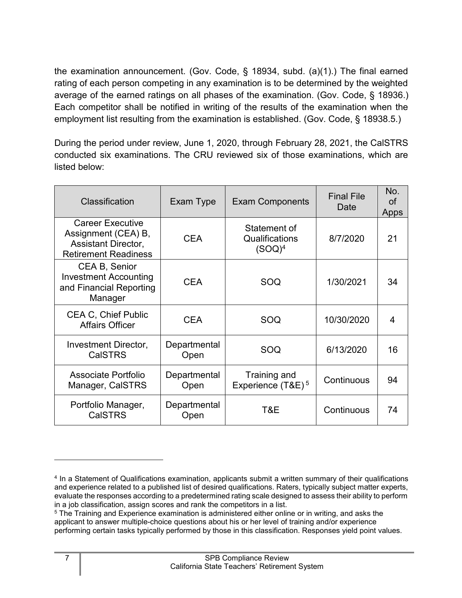the examination announcement. (Gov. Code, § 18934, subd. (a)(1).) The final earned rating of each person competing in any examination is to be determined by the weighted average of the earned ratings on all phases of the examination. (Gov. Code, § 18936.) Each competitor shall be notified in writing of the results of the examination when the employment list resulting from the examination is established. (Gov. Code, § 18938.5.)

During the period under review, June 1, 2020, through February 28, 2021, the CalSTRS conducted six examinations. The CRU reviewed six of those examinations, which are listed below:

| Classification                                                                                       | Exam Type            | <b>Exam Components</b>                        | <b>Final File</b><br>Date | No.<br><b>of</b><br>Apps |
|------------------------------------------------------------------------------------------------------|----------------------|-----------------------------------------------|---------------------------|--------------------------|
| <b>Career Executive</b><br>Assignment (CEA) B,<br>Assistant Director,<br><b>Retirement Readiness</b> | <b>CEA</b>           | Statement of<br>Qualifications<br>$(SOQ)^4$   | 8/7/2020                  | 21                       |
| CEA B, Senior<br><b>Investment Accounting</b><br>and Financial Reporting<br>Manager                  | <b>CEA</b>           | SOQ                                           | 1/30/2021                 | 34                       |
| <b>CEA C, Chief Public</b><br><b>Affairs Officer</b>                                                 | <b>CEA</b>           | SOQ                                           | 10/30/2020                | 4                        |
| <b>Investment Director,</b><br><b>CalSTRS</b>                                                        | Departmental<br>Open | SOQ                                           | 6/13/2020                 | 16                       |
| Associate Portfolio<br>Manager, CalSTRS                                                              | Departmental<br>Open | Training and<br>Experience (T&E) <sup>5</sup> | Continuous                | 94                       |
| Portfolio Manager,<br><b>CalSTRS</b>                                                                 | Departmental<br>Open | T&E                                           | Continuous                | 74                       |

<span id="page-8-0"></span><sup>4</sup> In a Statement of Qualifications examination, applicants submit a written summary of their qualifications and experience related to a published list of desired qualifications. Raters, typically subject matter experts, evaluate the responses according to a predetermined rating scale designed to assess their ability to perform in a job classification, assign scores and rank the competitors in a list.

<span id="page-8-1"></span><sup>&</sup>lt;sup>5</sup> The Training and Experience examination is administered either online or in writing, and asks the applicant to answer multiple-choice questions about his or her level of training and/or experience performing certain tasks typically performed by those in this classification. Responses yield point values.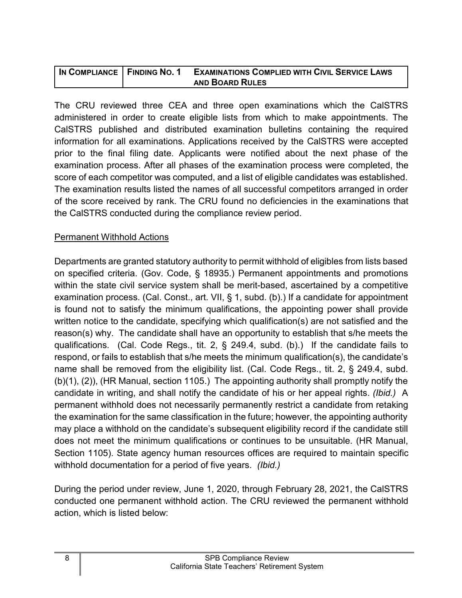| IN COMPLIANCE   FINDING NO. 1 | <b>EXAMINATIONS COMPLIED WITH CIVIL SERVICE LAWS</b> |
|-------------------------------|------------------------------------------------------|
|                               | <b>AND BOARD RULES</b>                               |

The CRU reviewed three CEA and three open examinations which the CalSTRS administered in order to create eligible lists from which to make appointments. The CalSTRS published and distributed examination bulletins containing the required information for all examinations. Applications received by the CalSTRS were accepted prior to the final filing date. Applicants were notified about the next phase of the examination process. After all phases of the examination process were completed, the score of each competitor was computed, and a list of eligible candidates was established. The examination results listed the names of all successful competitors arranged in order of the score received by rank. The CRU found no deficiencies in the examinations that the CalSTRS conducted during the compliance review period.

#### Permanent Withhold Actions

Departments are granted statutory authority to permit withhold of eligibles from lists based on specified criteria. (Gov. Code, § 18935.) Permanent appointments and promotions within the state civil service system shall be merit-based, ascertained by a competitive examination process. (Cal. Const., art. VII, § 1, subd. (b).) If a candidate for appointment is found not to satisfy the minimum qualifications, the appointing power shall provide written notice to the candidate, specifying which qualification(s) are not satisfied and the reason(s) why. The candidate shall have an opportunity to establish that s/he meets the qualifications. (Cal. Code Regs., tit. 2, § 249.4, subd. (b).) If the candidate fails to respond, or fails to establish that s/he meets the minimum qualification(s), the candidate's name shall be removed from the eligibility list. (Cal. Code Regs., tit. 2, § 249.4, subd. (b)(1), (2)), (HR Manual, section 1105.) The appointing authority shall promptly notify the candidate in writing, and shall notify the candidate of his or her appeal rights. *(Ibid.)* A permanent withhold does not necessarily permanently restrict a candidate from retaking the examination for the same classification in the future; however, the appointing authority may place a withhold on the candidate's subsequent eligibility record if the candidate still does not meet the minimum qualifications or continues to be unsuitable. (HR Manual, Section 1105). State agency human resources offices are required to maintain specific withhold documentation for a period of five years. *(Ibid.)*

During the period under review, June 1, 2020, through February 28, 2021, the CalSTRS conducted one permanent withhold action. The CRU reviewed the permanent withhold action, which is listed below: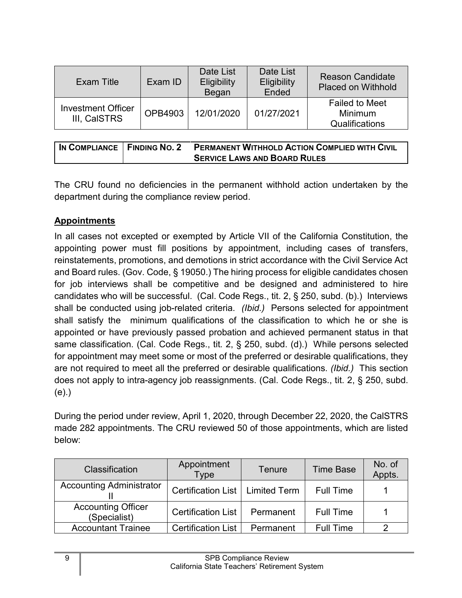| Exam Title                                | Exam ID | Date List<br><b>Eligibility</b><br>Began | Date List<br>Eligibility<br>Ended | <b>Reason Candidate</b><br><b>Placed on Withhold</b>      |
|-------------------------------------------|---------|------------------------------------------|-----------------------------------|-----------------------------------------------------------|
| <b>Investment Officer</b><br>III, CalSTRS | OPB4903 | 12/01/2020                               | 01/27/2021                        | <b>Failed to Meet</b><br><b>Minimum</b><br>Qualifications |

| I IN COMPLIANCE   FINDING NO. 2 | <b>PERMANENT WITHHOLD ACTION COMPLIED WITH CIVIL</b> |
|---------------------------------|------------------------------------------------------|
|                                 | <b>SERVICE LAWS AND BOARD RULES</b>                  |

The CRU found no deficiencies in the permanent withhold action undertaken by the department during the compliance review period.

# <span id="page-10-0"></span>**Appointments**

In all cases not excepted or exempted by Article VII of the California Constitution, the appointing power must fill positions by appointment, including cases of transfers, reinstatements, promotions, and demotions in strict accordance with the Civil Service Act and Board rules. (Gov. Code, § 19050.) The hiring process for eligible candidates chosen for job interviews shall be competitive and be designed and administered to hire candidates who will be successful. (Cal. Code Regs., tit. 2, § 250, subd. (b).) Interviews shall be conducted using job-related criteria. *(Ibid.)* Persons selected for appointment shall satisfy the minimum qualifications of the classification to which he or she is appointed or have previously passed probation and achieved permanent status in that same classification. (Cal. Code Regs., tit. 2, § 250, subd. (d).) While persons selected for appointment may meet some or most of the preferred or desirable qualifications, they are not required to meet all the preferred or desirable qualifications. *(Ibid.)* This section does not apply to intra-agency job reassignments. (Cal. Code Regs., tit. 2, § 250, subd. (e).)

During the period under review, April 1, 2020, through December 22, 2020, the CalSTRS made 282 appointments. The CRU reviewed 50 of those appointments, which are listed below:

| Classification                            | Appointment<br><b>Type</b>        | Tenure    | <b>Time Base</b> | No. of<br>Appts. |
|-------------------------------------------|-----------------------------------|-----------|------------------|------------------|
| <b>Accounting Administrator</b>           | Certification List   Limited Term |           | <b>Full Time</b> |                  |
| <b>Accounting Officer</b><br>(Specialist) | <b>Certification List</b>         | Permanent | <b>Full Time</b> |                  |
| <b>Accountant Trainee</b>                 | <b>Certification List</b>         | Permanent | <b>Full Time</b> |                  |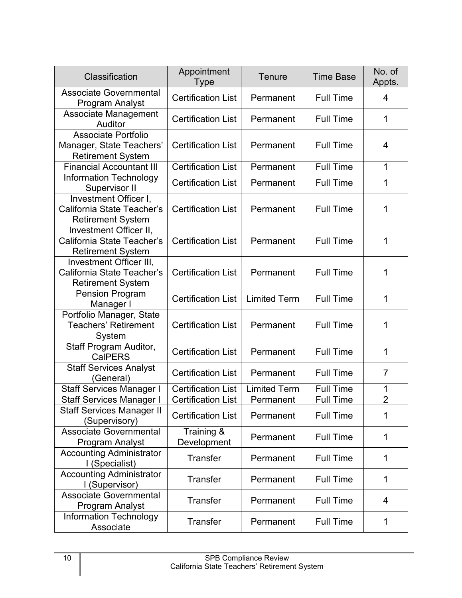| Classification                                                                     | Appointment<br>Type       | <b>Tenure</b>       | <b>Time Base</b> | No. of<br>Appts. |
|------------------------------------------------------------------------------------|---------------------------|---------------------|------------------|------------------|
| <b>Associate Governmental</b><br><b>Program Analyst</b>                            | <b>Certification List</b> | Permanent           | <b>Full Time</b> | 4                |
| Associate Management<br>Auditor                                                    | <b>Certification List</b> | Permanent           | <b>Full Time</b> | 1                |
| <b>Associate Portfolio</b><br>Manager, State Teachers'<br><b>Retirement System</b> | <b>Certification List</b> | Permanent           | <b>Full Time</b> | 4                |
| <b>Financial Accountant III</b>                                                    | <b>Certification List</b> | Permanent           | <b>Full Time</b> | 1                |
| <b>Information Technology</b><br>Supervisor II                                     | <b>Certification List</b> | Permanent           | <b>Full Time</b> | 1                |
| Investment Officer I,<br>California State Teacher's<br><b>Retirement System</b>    | <b>Certification List</b> | Permanent           | <b>Full Time</b> | 1                |
| Investment Officer II,<br>California State Teacher's<br><b>Retirement System</b>   | <b>Certification List</b> | Permanent           | <b>Full Time</b> | 1                |
| Investment Officer III,<br>California State Teacher's<br><b>Retirement System</b>  | <b>Certification List</b> | Permanent           | <b>Full Time</b> | 1                |
| <b>Pension Program</b><br>Manager I                                                | <b>Certification List</b> | <b>Limited Term</b> | <b>Full Time</b> | 1                |
| Portfolio Manager, State<br><b>Teachers' Retirement</b><br>System                  | <b>Certification List</b> | Permanent           | <b>Full Time</b> | 1                |
| Staff Program Auditor,<br><b>CalPERS</b>                                           | <b>Certification List</b> | Permanent           | <b>Full Time</b> | 1                |
| <b>Staff Services Analyst</b><br>(General)                                         | <b>Certification List</b> | Permanent           | <b>Full Time</b> | 7                |
| <b>Staff Services Manager I</b>                                                    | <b>Certification List</b> | <b>Limited Term</b> | <b>Full Time</b> | 1                |
| <b>Staff Services Manager I</b>                                                    | <b>Certification List</b> | Permanent           | <b>Full Time</b> | $\overline{2}$   |
| <b>Staff Services Manager II</b><br>(Supervisory)                                  | <b>Certification List</b> | Permanent           | <b>Full Time</b> | 1                |
| <b>Associate Governmental</b><br><b>Program Analyst</b>                            | Training &<br>Development | Permanent           | <b>Full Time</b> | 1                |
| <b>Accounting Administrator</b><br>I (Specialist)                                  | <b>Transfer</b>           | Permanent           | <b>Full Time</b> | 1                |
| <b>Accounting Administrator</b><br>I (Supervisor)                                  | <b>Transfer</b>           | Permanent           | <b>Full Time</b> | 1                |
| <b>Associate Governmental</b><br>Program Analyst                                   | <b>Transfer</b>           | Permanent           | <b>Full Time</b> | 4                |
| <b>Information Technology</b><br>Associate                                         | <b>Transfer</b>           | Permanent           | <b>Full Time</b> | 1                |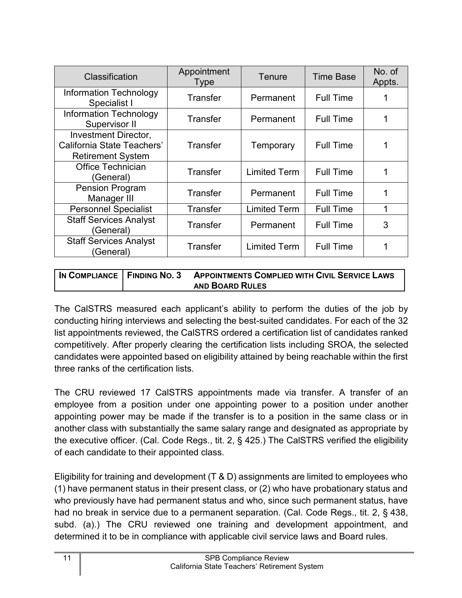| Classification                                                                 | Appointment<br><b>Type</b> | <b>Tenure</b>       | <b>Time Base</b> | No. of<br>Appts. |
|--------------------------------------------------------------------------------|----------------------------|---------------------|------------------|------------------|
| Information Technology<br>Specialist I                                         | Transfer                   | Permanent           | <b>Full Time</b> |                  |
| <b>Information Technology</b><br>Supervisor II                                 | Transfer                   | Permanent           | <b>Full Time</b> |                  |
| Investment Director,<br>California State Teachers'<br><b>Retirement System</b> | Transfer                   | Temporary           | <b>Full Time</b> |                  |
| <b>Office Technician</b><br>(General)                                          | <b>Transfer</b>            | <b>Limited Term</b> | <b>Full Time</b> |                  |
| <b>Pension Program</b><br>Manager III                                          | <b>Transfer</b>            | Permanent           | <b>Full Time</b> | 1                |
| <b>Personnel Specialist</b>                                                    | Transfer                   | <b>Limited Term</b> | <b>Full Time</b> | 1                |
| <b>Staff Services Analyst</b><br>(General)                                     | Transfer                   | Permanent           | <b>Full Time</b> | 3                |
| <b>Staff Services Analyst</b><br>(General)                                     | <b>Transfer</b>            | <b>Limited Term</b> | <b>Full Time</b> |                  |

| IN COMPLIANCE   FINDING NO. 3 | <b>APPOINTMENTS COMPLIED WITH CIVIL SERVICE LAWS</b> |
|-------------------------------|------------------------------------------------------|
|                               | <b>AND BOARD RULES</b>                               |

The CalSTRS measured each applicant's ability to perform the duties of the job by conducting hiring interviews and selecting the best-suited candidates. For each of the 32 list appointments reviewed, the CalSTRS ordered a certification list of candidates ranked competitively. After properly clearing the certification lists including SROA, the selected candidates were appointed based on eligibility attained by being reachable within the first three ranks of the certification lists.

The CRU reviewed 17 CalSTRS appointments made via transfer. A transfer of an employee from a position under one appointing power to a position under another appointing power may be made if the transfer is to a position in the same class or in another class with substantially the same salary range and designated as appropriate by the executive officer. (Cal. Code Regs., tit. 2, § 425.) The CalSTRS verified the eligibility of each candidate to their appointed class.

Eligibility for training and development (T & D) assignments are limited to employees who (1) have permanent status in their present class, or (2) who have probationary status and who previously have had permanent status and who, since such permanent status, have had no break in service due to a permanent separation. (Cal. Code Regs., tit. 2, § 438, subd. (a).) The CRU reviewed one training and development appointment, and determined it to be in compliance with applicable civil service laws and Board rules.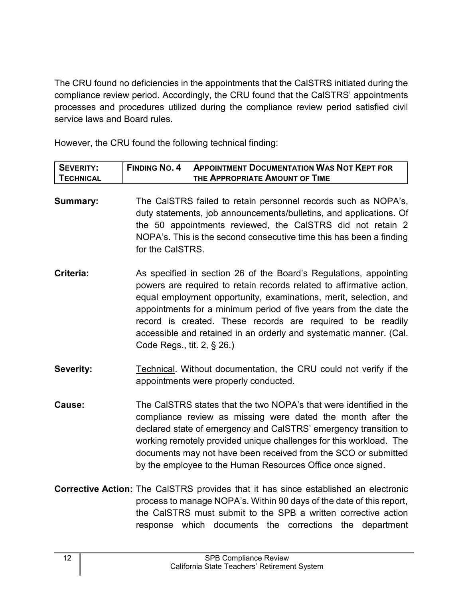The CRU found no deficiencies in the appointments that the CalSTRS initiated during the compliance review period. Accordingly, the CRU found that the CalSTRS' appointments processes and procedures utilized during the compliance review period satisfied civil service laws and Board rules.

However, the CRU found the following technical finding:

| <b>SEVERITY:</b> | <b>FINDING NO. 4</b> | <b>APPOINTMENT DOCUMENTATION WAS NOT KEPT FOR</b> |
|------------------|----------------------|---------------------------------------------------|
| <b>TECHNICAL</b> |                      | THE APPROPRIATE AMOUNT OF TIME                    |

- **Summary:** The CalSTRS failed to retain personnel records such as NOPA's, duty statements, job announcements/bulletins, and applications. Of the 50 appointments reviewed, the CalSTRS did not retain 2 NOPA's. This is the second consecutive time this has been a finding for the CalSTRS.
- **Criteria:** As specified in section 26 of the Board's Regulations, appointing powers are required to retain records related to affirmative action, equal employment opportunity, examinations, merit, selection, and appointments for a minimum period of five years from the date the record is created. These records are required to be readily accessible and retained in an orderly and systematic manner. (Cal. Code Regs., tit. 2, § 26.)
- **Severity:** Technical. Without documentation, the CRU could not verify if the appointments were properly conducted.
- **Cause:** The CalSTRS states that the two NOPA's that were identified in the compliance review as missing were dated the month after the declared state of emergency and CalSTRS' emergency transition to working remotely provided unique challenges for this workload. The documents may not have been received from the SCO or submitted by the employee to the Human Resources Office once signed.
- **Corrective Action:** The CalSTRS provides that it has since established an electronic process to manage NOPA's. Within 90 days of the date of this report, the CalSTRS must submit to the SPB a written corrective action response which documents the corrections the department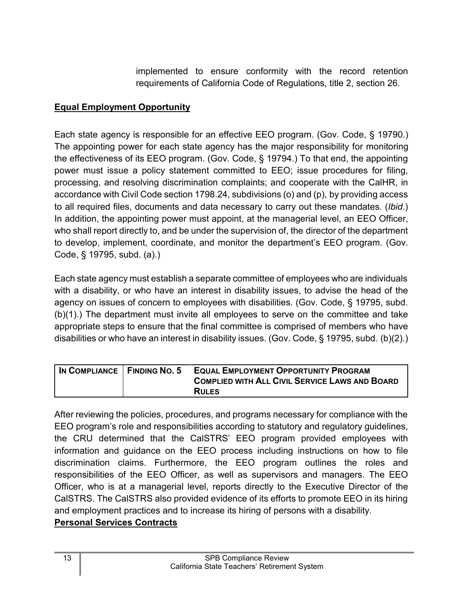implemented to ensure conformity with the record retention requirements of California Code of Regulations, title 2, section 26.

#### <span id="page-14-0"></span>**Equal Employment Opportunity**

Each state agency is responsible for an effective EEO program. (Gov. Code, § 19790.) The appointing power for each state agency has the major responsibility for monitoring the effectiveness of its EEO program. (Gov. Code, § 19794.) To that end, the appointing power must issue a policy statement committed to EEO; issue procedures for filing, processing, and resolving discrimination complaints; and cooperate with the CalHR, in accordance with Civil Code section 1798.24, subdivisions (o) and (p), by providing access to all required files, documents and data necessary to carry out these mandates. (*Ibid*.) In addition, the appointing power must appoint, at the managerial level, an EEO Officer, who shall report directly to, and be under the supervision of, the director of the department to develop, implement, coordinate, and monitor the department's EEO program. (Gov. Code, § 19795, subd. (a).)

Each state agency must establish a separate committee of employees who are individuals with a disability, or who have an interest in disability issues, to advise the head of the agency on issues of concern to employees with disabilities. (Gov. Code, § 19795, subd. (b)(1).) The department must invite all employees to serve on the committee and take appropriate steps to ensure that the final committee is comprised of members who have disabilities or who have an interest in disability issues. (Gov. Code, § 19795, subd. (b)(2).)

| IN COMPLIANCE   FINDING NO. 5 | <b>EQUAL EMPLOYMENT OPPORTUNITY PROGRAM</b><br><b>COMPLIED WITH ALL CIVIL SERVICE LAWS AND BOARD</b> |
|-------------------------------|------------------------------------------------------------------------------------------------------|
|                               | <b>RULES</b>                                                                                         |

After reviewing the policies, procedures, and programs necessary for compliance with the EEO program's role and responsibilities according to statutory and regulatory guidelines, the CRU determined that the CalSTRS' EEO program provided employees with information and guidance on the EEO process including instructions on how to file discrimination claims. Furthermore, the EEO program outlines the roles and responsibilities of the EEO Officer, as well as supervisors and managers. The EEO Officer, who is at a managerial level, reports directly to the Executive Director of the CalSTRS. The CalSTRS also provided evidence of its efforts to promote EEO in its hiring and employment practices and to increase its hiring of persons with a disability.

#### <span id="page-14-1"></span>**Personal Services Contracts**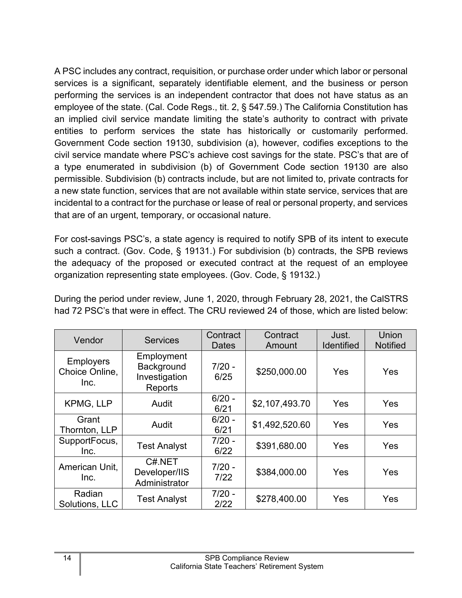A PSC includes any contract, requisition, or purchase order under which labor or personal services is a significant, separately identifiable element, and the business or person performing the services is an independent contractor that does not have status as an employee of the state. (Cal. Code Regs., tit. 2, § 547.59.) The California Constitution has an implied civil service mandate limiting the state's authority to contract with private entities to perform services the state has historically or customarily performed. Government Code section 19130, subdivision (a), however, codifies exceptions to the civil service mandate where PSC's achieve cost savings for the state. PSC's that are of a type enumerated in subdivision (b) of Government Code section 19130 are also permissible. Subdivision (b) contracts include, but are not limited to, private contracts for a new state function, services that are not available within state service, services that are incidental to a contract for the purchase or lease of real or personal property, and services that are of an urgent, temporary, or occasional nature.

For cost-savings PSC's, a state agency is required to notify SPB of its intent to execute such a contract. (Gov. Code, § 19131.) For subdivision (b) contracts, the SPB reviews the adequacy of the proposed or executed contract at the request of an employee organization representing state employees. (Gov. Code, § 19132.)

During the period under review, June 1, 2020, through February 28, 2021, the CalSTRS had 72 PSC's that were in effect. The CRU reviewed 24 of those, which are listed below:

| Vendor                                     | <b>Services</b>                                      | Contract<br>Dates | Contract<br>Amount | Just.<br><b>Identified</b> | Union<br><b>Notified</b> |
|--------------------------------------------|------------------------------------------------------|-------------------|--------------------|----------------------------|--------------------------|
| <b>Employers</b><br>Choice Online,<br>Inc. | Employment<br>Background<br>Investigation<br>Reports | $7/20 -$<br>6/25  | \$250,000.00       | Yes                        | Yes                      |
| <b>KPMG, LLP</b>                           | Audit                                                | $6/20 -$<br>6/21  | \$2,107,493.70     | Yes                        | Yes                      |
| Grant<br>Thornton, LLP                     | Audit                                                | $6/20 -$<br>6/21  | \$1,492,520.60     | Yes                        | Yes                      |
| SupportFocus,<br>Inc.                      | <b>Test Analyst</b>                                  | $7/20 -$<br>6/22  | \$391,680.00       | Yes                        | Yes                      |
| American Unit,<br>Inc.                     | C#.NET<br>Developer/IIS<br>Administrator             | $7/20 -$<br>7/22  | \$384,000.00       | Yes                        | Yes                      |
| Radian<br>Solutions, LLC                   | <b>Test Analyst</b>                                  | $7/20 -$<br>2/22  | \$278,400.00       | Yes                        | Yes                      |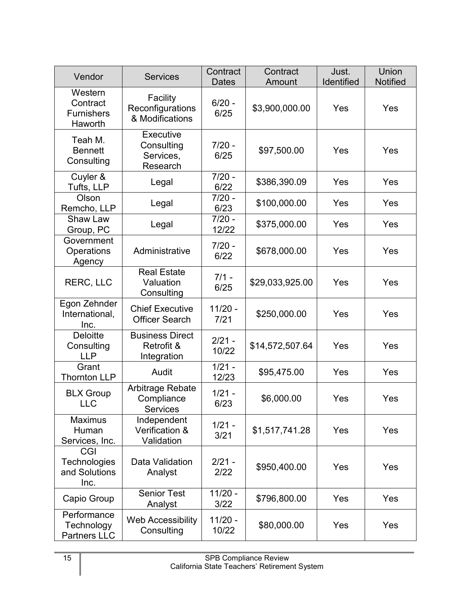| Vendor                                              | <b>Services</b>                                         | Contract<br><b>Dates</b> | Contract<br>Amount | Just.<br>Identified | Union<br><b>Notified</b> |
|-----------------------------------------------------|---------------------------------------------------------|--------------------------|--------------------|---------------------|--------------------------|
| Western<br>Contract<br><b>Furnishers</b><br>Haworth | Facility<br>Reconfigurations<br>& Modifications         | $6/20 -$<br>6/25         | \$3,900,000.00     | Yes                 | Yes                      |
| Teah M.<br><b>Bennett</b><br>Consulting             | <b>Executive</b><br>Consulting<br>Services,<br>Research | $7/20 -$<br>6/25         | \$97,500.00        | Yes                 | Yes                      |
| Cuyler &<br>Tufts, LLP                              | Legal                                                   | $7/20 -$<br>6/22         | \$386,390.09       | Yes                 | Yes                      |
| Olson<br>Remcho, LLP                                | Legal                                                   | 7/20 -<br>6/23           | \$100,000.00       | Yes                 | Yes                      |
| <b>Shaw Law</b><br>Group, PC                        | Legal                                                   | $7/20 -$<br>12/22        | \$375,000.00       | Yes                 | Yes                      |
| Government<br>Operations<br>Agency                  | Administrative                                          | $7/20 -$<br>6/22         | \$678,000.00       | Yes                 | Yes                      |
| <b>RERC, LLC</b>                                    | <b>Real Estate</b><br>Valuation<br>Consulting           | $7/1 -$<br>6/25          | \$29,033,925.00    | Yes                 | Yes                      |
| Egon Zehnder<br>International,<br>Inc.              | <b>Chief Executive</b><br><b>Officer Search</b>         | $11/20 -$<br>7/21        | \$250,000.00       | Yes                 | Yes                      |
| <b>Deloitte</b><br>Consulting<br><b>LLP</b>         | <b>Business Direct</b><br>Retrofit &<br>Integration     | $2/21 -$<br>10/22        | \$14,572,507.64    | Yes                 | Yes                      |
| Grant<br><b>Thornton LLP</b>                        | Audit                                                   | $1/21 -$<br>12/23        | \$95,475.00        | Yes                 | Yes                      |
| <b>BLX Group</b><br><b>LLC</b>                      | Arbitrage Rebate<br>Compliance<br><b>Services</b>       | $1/21 -$<br>6/23         | \$6,000.00         | Yes                 | Yes                      |
| <b>Maximus</b><br>Human<br>Services, Inc.           | Independent<br>Verification &<br>Validation             | $1/21 -$<br>3/21         | \$1,517,741.28     | Yes                 | Yes                      |
| CGI<br>Technologies<br>and Solutions<br>Inc.        | Data Validation<br>Analyst                              | $2/21 -$<br>2/22         | \$950,400.00       | Yes                 | Yes                      |
| Capio Group                                         | <b>Senior Test</b><br>Analyst                           | $11/20 -$<br>3/22        | \$796,800.00       | Yes                 | Yes                      |
| Performance<br>Technology<br><b>Partners LLC</b>    | <b>Web Accessibility</b><br>Consulting                  | $11/20 -$<br>10/22       | \$80,000.00        | Yes                 | Yes                      |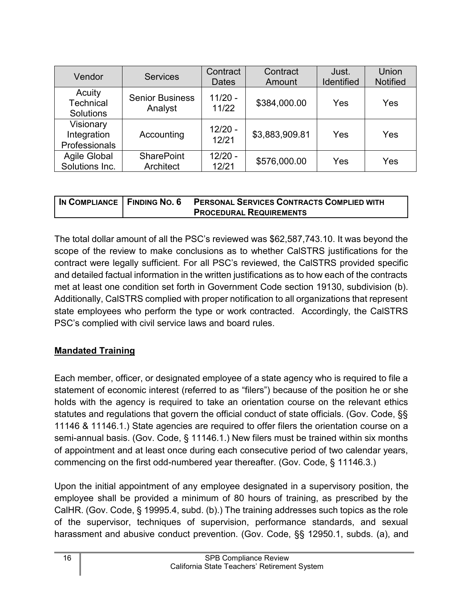| Vendor                                         | <b>Services</b>                   | Contract<br><b>Dates</b> | Contract<br>Amount | Just.<br><b>Identified</b> | Union<br><b>Notified</b> |
|------------------------------------------------|-----------------------------------|--------------------------|--------------------|----------------------------|--------------------------|
| Acuity<br><b>Technical</b><br><b>Solutions</b> | <b>Senior Business</b><br>Analyst | $11/20 -$<br>11/22       | \$384,000.00       | Yes                        | Yes                      |
| Visionary<br>Integration<br>Professionals      | Accounting                        | $12/20 -$<br>12/21       | \$3,883,909.81     | Yes                        | Yes                      |
| <b>Agile Global</b><br>Solutions Inc.          | <b>SharePoint</b><br>Architect    | $12/20 -$<br>12/21       | \$576,000.00       | Yes                        | Yes                      |

|  | IN COMPLIANCE FINDING NO. 6 PERSONAL SERVICES CONTRACTS COMPLIED WITH |
|--|-----------------------------------------------------------------------|
|  | <b>PROCEDURAL REQUIREMENTS</b>                                        |

The total dollar amount of all the PSC's reviewed was \$62,587,743.10. It was beyond the scope of the review to make conclusions as to whether CalSTRS justifications for the contract were legally sufficient. For all PSC's reviewed, the CalSTRS provided specific and detailed factual information in the written justifications as to how each of the contracts met at least one condition set forth in Government Code section 19130, subdivision (b). Additionally, CalSTRS complied with proper notification to all organizations that represent state employees who perform the type or work contracted. Accordingly, the CalSTRS PSC's complied with civil service laws and board rules.

# <span id="page-17-0"></span>**Mandated Training**

Each member, officer, or designated employee of a state agency who is required to file a statement of economic interest (referred to as "filers") because of the position he or she holds with the agency is required to take an orientation course on the relevant ethics statutes and regulations that govern the official conduct of state officials. (Gov. Code, §§ 11146 & 11146.1.) State agencies are required to offer filers the orientation course on a semi-annual basis. (Gov. Code, § 11146.1.) New filers must be trained within six months of appointment and at least once during each consecutive period of two calendar years, commencing on the first odd-numbered year thereafter. (Gov. Code, § 11146.3.)

Upon the initial appointment of any employee designated in a supervisory position, the employee shall be provided a minimum of 80 hours of training, as prescribed by the CalHR. (Gov. Code, § 19995.4, subd. (b).) The training addresses such topics as the role of the supervisor, techniques of supervision, performance standards, and sexual harassment and abusive conduct prevention. (Gov. Code, §§ 12950.1, subds. (a), and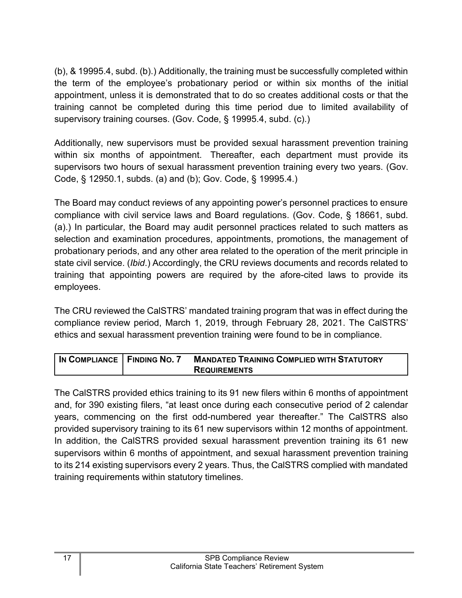(b), & 19995.4, subd. (b).) Additionally, the training must be successfully completed within the term of the employee's probationary period or within six months of the initial appointment, unless it is demonstrated that to do so creates additional costs or that the training cannot be completed during this time period due to limited availability of supervisory training courses. (Gov. Code, § 19995.4, subd. (c).)

Additionally, new supervisors must be provided sexual harassment prevention training within six months of appointment. Thereafter, each department must provide its supervisors two hours of sexual harassment prevention training every two years. (Gov. Code, § 12950.1, subds. (a) and (b); Gov. Code, § 19995.4.)

The Board may conduct reviews of any appointing power's personnel practices to ensure compliance with civil service laws and Board regulations. (Gov. Code, § 18661, subd. (a).) In particular, the Board may audit personnel practices related to such matters as selection and examination procedures, appointments, promotions, the management of probationary periods, and any other area related to the operation of the merit principle in state civil service. (*Ibid*.) Accordingly, the CRU reviews documents and records related to training that appointing powers are required by the afore-cited laws to provide its employees.

The CRU reviewed the CalSTRS' mandated training program that was in effect during the compliance review period, March 1, 2019, through February 28, 2021. The CalSTRS' ethics and sexual harassment prevention training were found to be in compliance.

| IN COMPLIANCE   FINDING NO. 7 | <b>MANDATED TRAINING COMPLIED WITH STATUTORY</b> |
|-------------------------------|--------------------------------------------------|
|                               | <b>REQUIREMENTS</b>                              |

The CalSTRS provided ethics training to its 91 new filers within 6 months of appointment and, for 390 existing filers, "at least once during each consecutive period of 2 calendar years, commencing on the first odd-numbered year thereafter." The CalSTRS also provided supervisory training to its 61 new supervisors within 12 months of appointment. In addition, the CalSTRS provided sexual harassment prevention training its 61 new supervisors within 6 months of appointment, and sexual harassment prevention training to its 214 existing supervisors every 2 years. Thus, the CalSTRS complied with mandated training requirements within statutory timelines.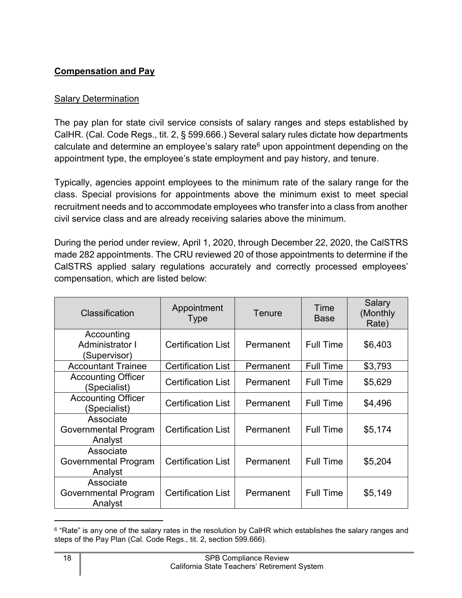# <span id="page-19-0"></span>**Compensation and Pay**

## Salary Determination

The pay plan for state civil service consists of salary ranges and steps established by CalHR. (Cal. Code Regs., tit. 2, § 599.666.) Several salary rules dictate how departments calculate and determine an employee's salary rate $6$  upon appointment depending on the appointment type, the employee's state employment and pay history, and tenure.

Typically, agencies appoint employees to the minimum rate of the salary range for the class. Special provisions for appointments above the minimum exist to meet special recruitment needs and to accommodate employees who transfer into a class from another civil service class and are already receiving salaries above the minimum.

During the period under review, April 1, 2020, through December 22, 2020, the CalSTRS made 282 appointments. The CRU reviewed 20 of those appointments to determine if the CalSTRS applied salary regulations accurately and correctly processed employees' compensation, which are listed below:

| Classification                                | Appointment<br><b>Type</b> | Tenure    | Time<br><b>Base</b> | Salary<br>(Monthly<br>Rate) |
|-----------------------------------------------|----------------------------|-----------|---------------------|-----------------------------|
| Accounting<br>Administrator I<br>(Supervisor) | <b>Certification List</b>  | Permanent | <b>Full Time</b>    | \$6,403                     |
| <b>Accountant Trainee</b>                     | <b>Certification List</b>  | Permanent | <b>Full Time</b>    | \$3,793                     |
| <b>Accounting Officer</b><br>(Specialist)     | <b>Certification List</b>  | Permanent | <b>Full Time</b>    | \$5,629                     |
| <b>Accounting Officer</b><br>(Specialist)     | <b>Certification List</b>  | Permanent | <b>Full Time</b>    | \$4,496                     |
| Associate<br>Governmental Program<br>Analyst  | <b>Certification List</b>  | Permanent | <b>Full Time</b>    | \$5,174                     |
| Associate<br>Governmental Program<br>Analyst  | <b>Certification List</b>  | Permanent | <b>Full Time</b>    | \$5,204                     |
| Associate<br>Governmental Program<br>Analyst  | <b>Certification List</b>  | Permanent | <b>Full Time</b>    | \$5,149                     |

<span id="page-19-1"></span> $^6$  "Rate" is any one of the salary rates in the resolution by CalHR which establishes the salary ranges and steps of the Pay Plan (Cal. Code Regs., tit. 2, section 599.666).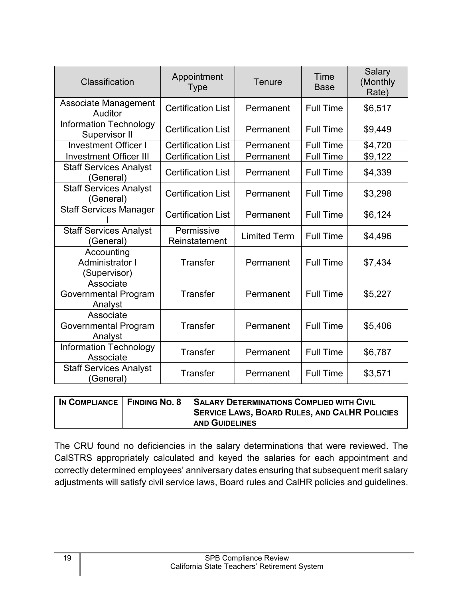| Classification                                       | Appointment<br><b>Type</b>  | <b>Tenure</b>       | Time<br><b>Base</b> | <b>Salary</b><br>(Monthly<br>Rate) |
|------------------------------------------------------|-----------------------------|---------------------|---------------------|------------------------------------|
| <b>Associate Management</b><br>Auditor               | <b>Certification List</b>   | Permanent           | <b>Full Time</b>    | \$6,517                            |
| Information Technology<br><b>Supervisor II</b>       | <b>Certification List</b>   | Permanent           | <b>Full Time</b>    | \$9,449                            |
| <b>Investment Officer I</b>                          | <b>Certification List</b>   | Permanent           | <b>Full Time</b>    | \$4,720                            |
| <b>Investment Officer III</b>                        | <b>Certification List</b>   | Permanent           | <b>Full Time</b>    | \$9,122                            |
| <b>Staff Services Analyst</b><br>(General)           | <b>Certification List</b>   | Permanent           | <b>Full Time</b>    | \$4,339                            |
| <b>Staff Services Analyst</b><br>(General)           | <b>Certification List</b>   | Permanent           | <b>Full Time</b>    | \$3,298                            |
| <b>Staff Services Manager</b>                        | <b>Certification List</b>   | Permanent           | <b>Full Time</b>    | \$6,124                            |
| <b>Staff Services Analyst</b><br>(General)           | Permissive<br>Reinstatement | <b>Limited Term</b> | <b>Full Time</b>    | \$4,496                            |
| Accounting<br><b>Administrator I</b><br>(Supervisor) | <b>Transfer</b>             | Permanent           | <b>Full Time</b>    | \$7,434                            |
| Associate<br>Governmental Program<br>Analyst         | <b>Transfer</b>             | Permanent           | <b>Full Time</b>    | \$5,227                            |
| Associate<br>Governmental Program<br>Analyst         | <b>Transfer</b>             | Permanent           | <b>Full Time</b>    | \$5,406                            |
| <b>Information Technology</b><br>Associate           | <b>Transfer</b>             | Permanent           | <b>Full Time</b>    | \$6,787                            |
| <b>Staff Services Analyst</b><br>(General)           | <b>Transfer</b>             | Permanent           | <b>Full Time</b>    | \$3,571                            |

| IN COMPLIANCE   FINDING NO. 8 | <b>SALARY DETERMINATIONS COMPLIED WITH CIVIL</b>     |
|-------------------------------|------------------------------------------------------|
|                               | <b>SERVICE LAWS, BOARD RULES, AND CALHR POLICIES</b> |
|                               | <b>AND GUIDELINES</b>                                |

The CRU found no deficiencies in the salary determinations that were reviewed. The CalSTRS appropriately calculated and keyed the salaries for each appointment and correctly determined employees' anniversary dates ensuring that subsequent merit salary adjustments will satisfy civil service laws, Board rules and CalHR policies and guidelines.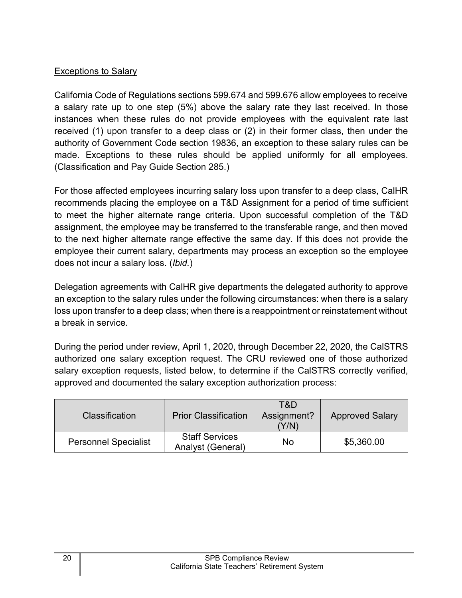## Exceptions to Salary

California Code of Regulations sections 599.674 and 599.676 allow employees to receive a salary rate up to one step (5%) above the salary rate they last received. In those instances when these rules do not provide employees with the equivalent rate last received (1) upon transfer to a deep class or (2) in their former class, then under the authority of Government Code section 19836, an exception to these salary rules can be made. Exceptions to these rules should be applied uniformly for all employees. (Classification and Pay Guide Section 285.)

For those affected employees incurring salary loss upon transfer to a deep class, CalHR recommends placing the employee on a T&D Assignment for a period of time sufficient to meet the higher alternate range criteria. Upon successful completion of the T&D assignment, the employee may be transferred to the transferable range, and then moved to the next higher alternate range effective the same day. If this does not provide the employee their current salary, departments may process an exception so the employee does not incur a salary loss. (*Ibid.*)

Delegation agreements with CalHR give departments the delegated authority to approve an exception to the salary rules under the following circumstances: when there is a salary loss upon transfer to a deep class; when there is a reappointment or reinstatement without a break in service.

During the period under review, April 1, 2020, through December 22, 2020, the CalSTRS authorized one salary exception request. The CRU reviewed one of those authorized salary exception requests, listed below, to determine if the CalSTRS correctly verified, approved and documented the salary exception authorization process:

| <b>Classification</b>       | <b>Prior Classification</b>                       | T&D<br>Assignment?<br>Y/N | <b>Approved Salary</b> |
|-----------------------------|---------------------------------------------------|---------------------------|------------------------|
| <b>Personnel Specialist</b> | <b>Staff Services</b><br><b>Analyst (General)</b> | No                        | \$5,360.00             |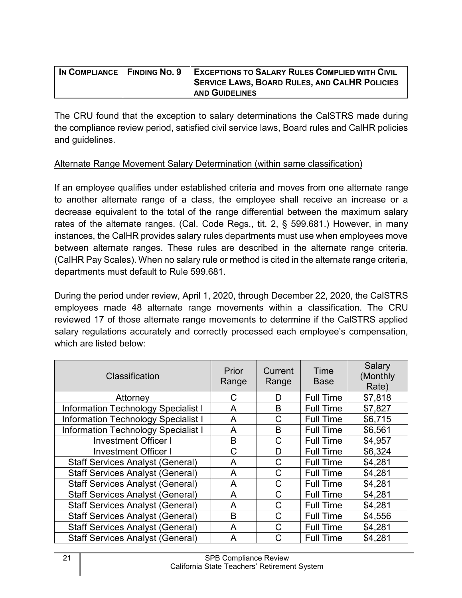| IN COMPLIANCE   FINDING NO. 9 | <b>EXCEPTIONS TO SALARY RULES COMPLIED WITH CIVIL</b> |
|-------------------------------|-------------------------------------------------------|
|                               | <b>SERVICE LAWS, BOARD RULES, AND CALHR POLICIES</b>  |
|                               | <b>AND GUIDELINES</b>                                 |

The CRU found that the exception to salary determinations the CalSTRS made during the compliance review period, satisfied civil service laws, Board rules and CalHR policies and guidelines.

#### Alternate Range Movement Salary Determination (within same classification)

If an employee qualifies under established criteria and moves from one alternate range to another alternate range of a class, the employee shall receive an increase or a decrease equivalent to the total of the range differential between the maximum salary rates of the alternate ranges. (Cal. Code Regs., tit. 2, § 599.681.) However, in many instances, the CalHR provides salary rules departments must use when employees move between alternate ranges. These rules are described in the alternate range criteria. (CalHR Pay Scales). When no salary rule or method is cited in the alternate range criteria, departments must default to Rule 599.681.

During the period under review, April 1, 2020, through December 22, 2020, the CalSTRS employees made 48 alternate range movements within a classification. The CRU reviewed 17 of those alternate range movements to determine if the CalSTRS applied salary regulations accurately and correctly processed each employee's compensation, which are listed below:

| Classification                             | <b>Prior</b><br>Range | Current<br>Range | Time<br><b>Base</b> | Salary<br>(Monthly<br>Rate) |
|--------------------------------------------|-----------------------|------------------|---------------------|-----------------------------|
| Attorney                                   | C                     | D                | <b>Full Time</b>    | \$7,818                     |
| <b>Information Technology Specialist I</b> | A                     | B                | <b>Full Time</b>    | \$7,827                     |
| <b>Information Technology Specialist I</b> | A                     | С                | <b>Full Time</b>    | \$6,715                     |
| <b>Information Technology Specialist I</b> | A                     | В                | <b>Full Time</b>    | \$6,561                     |
| <b>Investment Officer I</b>                | B                     | C                | <b>Full Time</b>    | \$4,957                     |
| <b>Investment Officer I</b>                | C                     | D                | <b>Full Time</b>    | \$6,324                     |
| <b>Staff Services Analyst (General)</b>    | A                     | C                | <b>Full Time</b>    | \$4,281                     |
| <b>Staff Services Analyst (General)</b>    | A                     | С                | <b>Full Time</b>    | \$4,281                     |
| <b>Staff Services Analyst (General)</b>    | A                     | С                | <b>Full Time</b>    | \$4,281                     |
| <b>Staff Services Analyst (General)</b>    | A                     | C                | <b>Full Time</b>    | \$4,281                     |
| <b>Staff Services Analyst (General)</b>    | A                     | С                | <b>Full Time</b>    | \$4,281                     |
| <b>Staff Services Analyst (General)</b>    | B                     | C                | <b>Full Time</b>    | \$4,556                     |
| <b>Staff Services Analyst (General)</b>    | A                     | C.               | <b>Full Time</b>    | \$4,281                     |
| <b>Staff Services Analyst (General)</b>    | A                     |                  | <b>Full Time</b>    | \$4,281                     |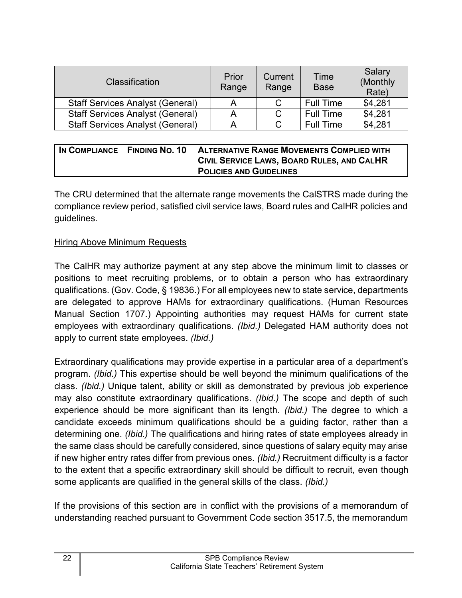| <b>Classification</b>                   | Prior<br>Range | Current<br>Range | Time<br><b>Base</b> | Salary<br>(Monthly<br>Rate) |
|-----------------------------------------|----------------|------------------|---------------------|-----------------------------|
| <b>Staff Services Analyst (General)</b> |                |                  | <b>Full Time</b>    | \$4,281                     |
| <b>Staff Services Analyst (General)</b> | A              |                  | <b>Full Time</b>    | \$4,281                     |
| <b>Staff Services Analyst (General)</b> | A              |                  | <b>Full Time</b>    | \$4,281                     |

| IN COMPLIANCE   FINDING NO. 10 | <b>ALTERNATIVE RANGE MOVEMENTS COMPLIED WITH</b> |
|--------------------------------|--------------------------------------------------|
|                                | CIVIL SERVICE LAWS, BOARD RULES, AND CALHR       |
|                                | <b>POLICIES AND GUIDELINES</b>                   |

The CRU determined that the alternate range movements the CalSTRS made during the compliance review period, satisfied civil service laws, Board rules and CalHR policies and guidelines.

#### Hiring Above Minimum Requests

The CalHR may authorize payment at any step above the minimum limit to classes or positions to meet recruiting problems, or to obtain a person who has extraordinary qualifications. (Gov. Code, § 19836.) For all employees new to state service, departments are delegated to approve HAMs for extraordinary qualifications. (Human Resources Manual Section 1707.) Appointing authorities may request HAMs for current state employees with extraordinary qualifications. *(Ibid.)* Delegated HAM authority does not apply to current state employees. *(Ibid.)*

Extraordinary qualifications may provide expertise in a particular area of a department's program. *(Ibid.)* This expertise should be well beyond the minimum qualifications of the class. *(Ibid.)* Unique talent, ability or skill as demonstrated by previous job experience may also constitute extraordinary qualifications. *(Ibid.)* The scope and depth of such experience should be more significant than its length. *(Ibid.)* The degree to which a candidate exceeds minimum qualifications should be a guiding factor, rather than a determining one. *(Ibid.)* The qualifications and hiring rates of state employees already in the same class should be carefully considered, since questions of salary equity may arise if new higher entry rates differ from previous ones. *(Ibid.)* Recruitment difficulty is a factor to the extent that a specific extraordinary skill should be difficult to recruit, even though some applicants are qualified in the general skills of the class. *(Ibid.)*

If the provisions of this section are in conflict with the provisions of a memorandum of understanding reached pursuant to Government Code section 3517.5, the memorandum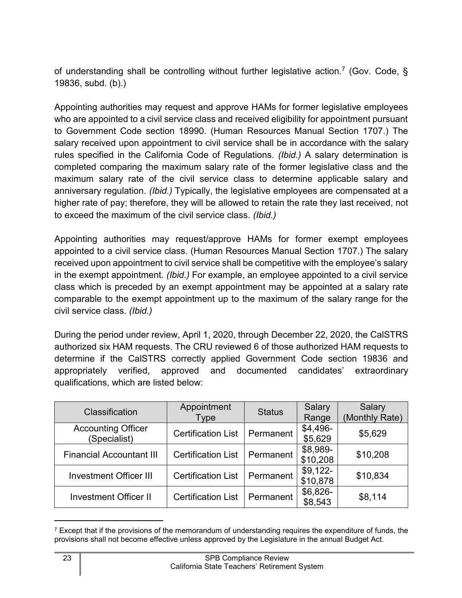of understanding shall be controlling without further legislative action.<sup>[7](#page-24-0)</sup> (Gov. Code, § 19836, subd. (b).)

Appointing authorities may request and approve HAMs for former legislative employees who are appointed to a civil service class and received eligibility for appointment pursuant to Government Code section 18990. (Human Resources Manual Section 1707.) The salary received upon appointment to civil service shall be in accordance with the salary rules specified in the California Code of Regulations. *(Ibid.)* A salary determination is completed comparing the maximum salary rate of the former legislative class and the maximum salary rate of the civil service class to determine applicable salary and anniversary regulation. *(Ibid.)* Typically, the legislative employees are compensated at a higher rate of pay; therefore, they will be allowed to retain the rate they last received, not to exceed the maximum of the civil service class. *(Ibid.)*

Appointing authorities may request/approve HAMs for former exempt employees appointed to a civil service class. (Human Resources Manual Section 1707.) The salary received upon appointment to civil service shall be competitive with the employee's salary in the exempt appointment. *(Ibid.)* For example, an employee appointed to a civil service class which is preceded by an exempt appointment may be appointed at a salary rate comparable to the exempt appointment up to the maximum of the salary range for the civil service class. *(Ibid.)*

During the period under review, April 1, 2020, through December 22, 2020, the CalSTRS authorized six HAM requests. The CRU reviewed 6 of those authorized HAM requests to determine if the CalSTRS correctly applied Government Code section 19836 and appropriately verified, approved and documented candidates' extraordinary qualifications, which are listed below:

| Classification                            | Appointment<br>Type       | <b>Status</b> | Salary<br>Range       | Salary<br>(Monthly Rate) |
|-------------------------------------------|---------------------------|---------------|-----------------------|--------------------------|
| <b>Accounting Officer</b><br>(Specialist) | <b>Certification List</b> | Permanent     | $$4,496-$<br>\$5,629  | \$5,629                  |
| <b>Financial Accountant III</b>           | <b>Certification List</b> | Permanent     | \$8,989-<br>\$10,208  | \$10,208                 |
| <b>Investment Officer III</b>             | <b>Certification List</b> | Permanent     | $$9,122-$<br>\$10,878 | \$10,834                 |
| <b>Investment Officer II</b>              | <b>Certification List</b> | Permanent     | $$6,826-$<br>\$8,543  | \$8,114                  |

<span id="page-24-0"></span> $7$  Except that if the provisions of the memorandum of understanding requires the expenditure of funds, the provisions shall not become effective unless approved by the Legislature in the annual Budget Act.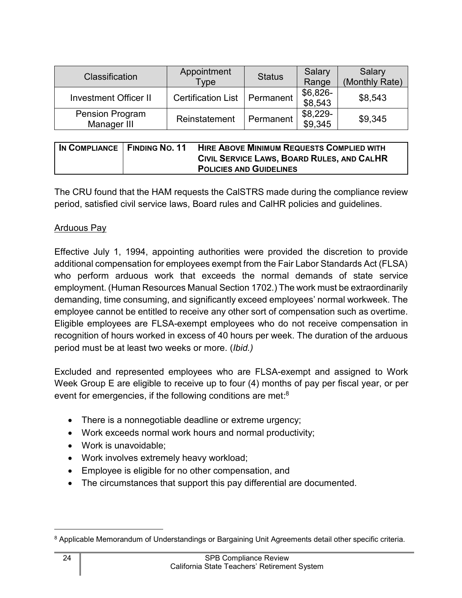| <b>Classification</b>                 | Appointment<br><b>Type</b> | <b>Status</b> | Salary<br>Range      | Salary<br>(Monthly Rate) |
|---------------------------------------|----------------------------|---------------|----------------------|--------------------------|
| <b>Investment Officer II</b>          | <b>Certification List</b>  | Permanent     | $$6,826-$<br>\$8,543 | \$8,543                  |
| <b>Pension Program</b><br>Manager III | Reinstatement              | Permanent     | $$8,229-$<br>\$9,345 | \$9,345                  |

| IN COMPLIANCE   FINDING NO. 11 | <b>HIRE ABOVE MINIMUM REQUESTS COMPLIED WITH</b><br>CIVIL SERVICE LAWS, BOARD RULES, AND CALHR<br><b>POLICIES AND GUIDELINES</b> |
|--------------------------------|----------------------------------------------------------------------------------------------------------------------------------|
|--------------------------------|----------------------------------------------------------------------------------------------------------------------------------|

The CRU found that the HAM requests the CalSTRS made during the compliance review period, satisfied civil service laws, Board rules and CalHR policies and guidelines.

## Arduous Pay

Effective July 1, 1994, appointing authorities were provided the discretion to provide additional compensation for employees exempt from the Fair Labor Standards Act (FLSA) who perform arduous work that exceeds the normal demands of state service employment. (Human Resources Manual Section 1702.) The work must be extraordinarily demanding, time consuming, and significantly exceed employees' normal workweek. The employee cannot be entitled to receive any other sort of compensation such as overtime. Eligible employees are FLSA-exempt employees who do not receive compensation in recognition of hours worked in excess of 40 hours per week. The duration of the arduous period must be at least two weeks or more. (*Ibid.)*

Excluded and represented employees who are FLSA-exempt and assigned to Work Week Group E are eligible to receive up to four (4) months of pay per fiscal year, or per event for emergencies, if the following conditions are met: $^8$  $^8$ 

- There is a nonnegotiable deadline or extreme urgency;
- · Work exceeds normal work hours and normal productivity;
- · Work is unavoidable;
- · Work involves extremely heavy workload;
- · Employee is eligible for no other compensation, and
- · The circumstances that support this pay differential are documented.

<span id="page-25-0"></span><sup>8</sup> Applicable Memorandum of Understandings or Bargaining Unit Agreements detail other specific criteria.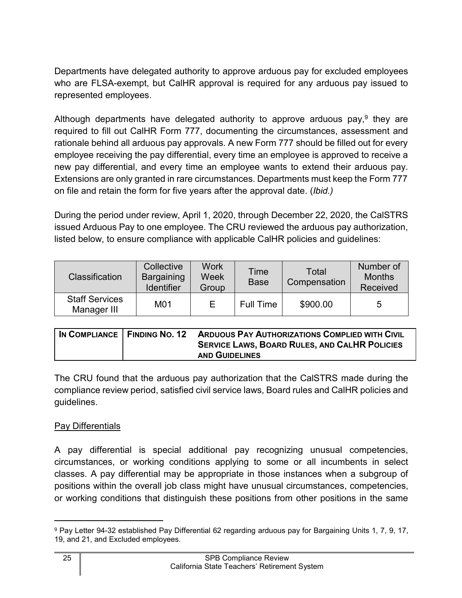Departments have delegated authority to approve arduous pay for excluded employees who are FLSA-exempt, but CalHR approval is required for any arduous pay issued to represented employees.

Although departments have delegated authority to approve arduous pay,<sup>[9](#page-26-0)</sup> they are required to fill out CalHR Form 777, documenting the circumstances, assessment and rationale behind all arduous pay approvals. A new Form 777 should be filled out for every employee receiving the pay differential, every time an employee is approved to receive a new pay differential, and every time an employee wants to extend their arduous pay. Extensions are only granted in rare circumstances. Departments must keep the Form 777 on file and retain the form for five years after the approval date. (*Ibid.)*

During the period under review, April 1, 2020, through December 22, 2020, the CalSTRS issued Arduous Pay to one employee. The CRU reviewed the arduous pay authorization, listed below, to ensure compliance with applicable CalHR policies and guidelines:

| <b>Classification</b>                | Collective<br>Bargaining<br><b>Identifier</b> | Work<br>Week<br>Group | Time<br><b>Base</b> | Total<br>Compensation | Number of<br><b>Months</b><br>Received |
|--------------------------------------|-----------------------------------------------|-----------------------|---------------------|-----------------------|----------------------------------------|
| <b>Staff Services</b><br>Manager III | M01                                           | F                     | <b>Full Time</b>    | \$900.00              | 5                                      |

|  | IN COMPLIANCE   FINDING NO. 12 ARDUOUS PAY AUTHORIZATIONS COMPLIED WITH CIVIL |
|--|-------------------------------------------------------------------------------|
|  | <b>SERVICE LAWS, BOARD RULES, AND CALHR POLICIES</b>                          |
|  | <b>AND GUIDELINES</b>                                                         |

The CRU found that the arduous pay authorization that the CalSTRS made during the compliance review period, satisfied civil service laws, Board rules and CalHR policies and guidelines.

# Pay Differentials

A pay differential is special additional pay recognizing unusual competencies, circumstances, or working conditions applying to some or all incumbents in select classes. A pay differential may be appropriate in those instances when a subgroup of positions within the overall job class might have unusual circumstances, competencies, or working conditions that distinguish these positions from other positions in the same

<span id="page-26-0"></span><sup>9</sup> Pay Letter 94-32 established Pay Differential 62 regarding arduous pay for Bargaining Units 1, 7, 9, 17, 19, and 21, and Excluded employees.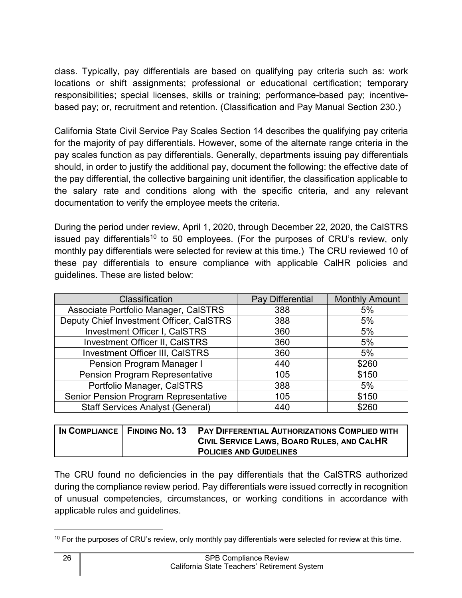class. Typically, pay differentials are based on qualifying pay criteria such as: work locations or shift assignments; professional or educational certification; temporary responsibilities; special licenses, skills or training; performance-based pay; incentivebased pay; or, recruitment and retention. (Classification and Pay Manual Section 230.)

California State Civil Service Pay Scales Section 14 describes the qualifying pay criteria for the majority of pay differentials. However, some of the alternate range criteria in the pay scales function as pay differentials. Generally, departments issuing pay differentials should, in order to justify the additional pay, document the following: the effective date of the pay differential, the collective bargaining unit identifier, the classification applicable to the salary rate and conditions along with the specific criteria, and any relevant documentation to verify the employee meets the criteria.

During the period under review, April 1, 2020, through December 22, 2020, the CalSTRS issued pay differentials<sup>[10](#page-27-0)</sup> to 50 employees. (For the purposes of CRU's review, only monthly pay differentials were selected for review at this time.) The CRU reviewed 10 of these pay differentials to ensure compliance with applicable CalHR policies and guidelines. These are listed below:

| Classification                               | Pay Differential | <b>Monthly Amount</b> |
|----------------------------------------------|------------------|-----------------------|
| Associate Portfolio Manager, CalSTRS         | 388              | 5%                    |
| Deputy Chief Investment Officer, CalSTRS     | 388              | 5%                    |
| <b>Investment Officer I, CalSTRS</b>         | 360              | 5%                    |
| <b>Investment Officer II, CalSTRS</b>        | 360              | 5%                    |
| Investment Officer III, CalSTRS              | 360              | 5%                    |
| <b>Pension Program Manager I</b>             | 440              | \$260                 |
| <b>Pension Program Representative</b>        | 105              | \$150                 |
| Portfolio Manager, CalSTRS                   | 388              | 5%                    |
| <b>Senior Pension Program Representative</b> | 105              | \$150                 |
| <b>Staff Services Analyst (General)</b>      | 440              | \$260                 |

|  | IN COMPLIANCE   FINDING NO. 13 PAY DIFFERENTIAL AUTHORIZATIONS COMPLIED WITH |
|--|------------------------------------------------------------------------------|
|  | CIVIL SERVICE LAWS, BOARD RULES, AND CALHR                                   |
|  | <b>POLICIES AND GUIDELINES</b>                                               |

The CRU found no deficiencies in the pay differentials that the CalSTRS authorized during the compliance review period. Pay differentials were issued correctly in recognition of unusual competencies, circumstances, or working conditions in accordance with applicable rules and guidelines.

<span id="page-27-0"></span><sup>&</sup>lt;sup>10</sup> For the purposes of CRU's review, only monthly pay differentials were selected for review at this time.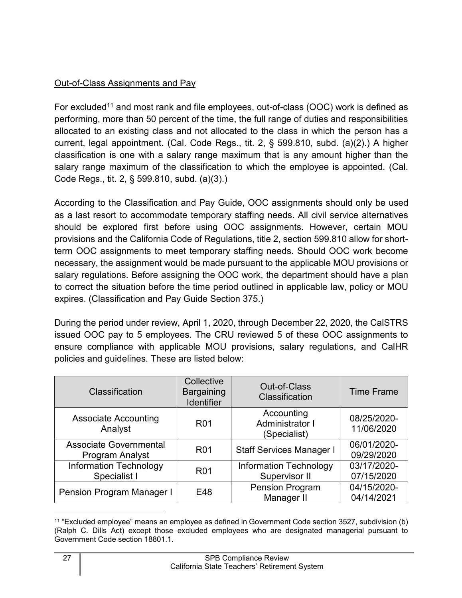# Out-of-Class Assignments and Pay

For excluded<sup>[11](#page-28-0)</sup> and most rank and file employees, out-of-class (OOC) work is defined as performing, more than 50 percent of the time, the full range of duties and responsibilities allocated to an existing class and not allocated to the class in which the person has a current, legal appointment. (Cal. Code Regs., tit. 2, § 599.810, subd. (a)(2).) A higher classification is one with a salary range maximum that is any amount higher than the salary range maximum of the classification to which the employee is appointed. (Cal. Code Regs., tit. 2, § 599.810, subd. (a)(3).)

According to the Classification and Pay Guide, OOC assignments should only be used as a last resort to accommodate temporary staffing needs. All civil service alternatives should be explored first before using OOC assignments. However, certain MOU provisions and the California Code of Regulations, title 2, section 599.810 allow for shortterm OOC assignments to meet temporary staffing needs. Should OOC work become necessary, the assignment would be made pursuant to the applicable MOU provisions or salary regulations. Before assigning the OOC work, the department should have a plan to correct the situation before the time period outlined in applicable law, policy or MOU expires. (Classification and Pay Guide Section 375.)

During the period under review, April 1, 2020, through December 22, 2020, the CalSTRS issued OOC pay to 5 employees. The CRU reviewed 5 of these OOC assignments to ensure compliance with applicable MOU provisions, salary regulations, and CalHR policies and guidelines. These are listed below:

| Classification                                   | Collective<br><b>Bargaining</b><br><b>Identifier</b> | Out-of-Class<br>Classification                 | <b>Time Frame</b>         |
|--------------------------------------------------|------------------------------------------------------|------------------------------------------------|---------------------------|
| <b>Associate Accounting</b><br>Analyst           | R <sub>0</sub> 1                                     | Accounting<br>Administrator I<br>(Specialist)  | 08/25/2020-<br>11/06/2020 |
| <b>Associate Governmental</b><br>Program Analyst | <b>R01</b>                                           | <b>Staff Services Manager I</b>                | 06/01/2020-<br>09/29/2020 |
| <b>Information Technology</b><br>Specialist I    | R <sub>0</sub> 1                                     | <b>Information Technology</b><br>Supervisor II | 03/17/2020-<br>07/15/2020 |
| Pension Program Manager I                        | E48                                                  | <b>Pension Program</b><br>Manager II           | 04/15/2020-<br>04/14/2021 |

<span id="page-28-0"></span><sup>11</sup> "Excluded employee" means an employee as defined in Government Code section 3527, subdivision (b) (Ralph C. Dills Act) except those excluded employees who are designated managerial pursuant to Government Code section 18801.1.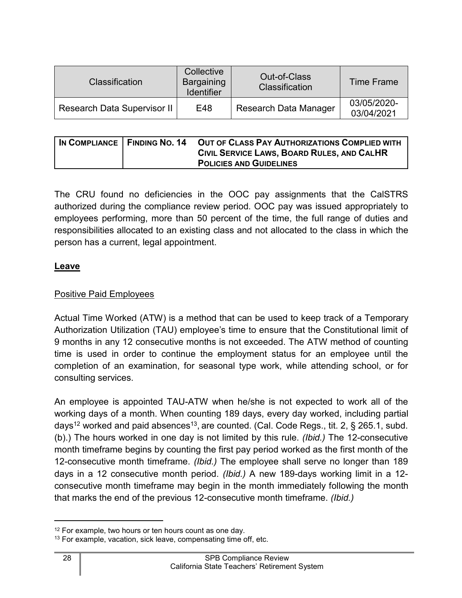| <b>Classification</b>              | Collective<br>Bargaining<br>Identifier | Out-of-Class<br><b>Classification</b> | <b>Time Frame</b>         |
|------------------------------------|----------------------------------------|---------------------------------------|---------------------------|
| <b>Research Data Supervisor II</b> | E48                                    | <b>Research Data Manager</b>          | 03/05/2020-<br>03/04/2021 |

|  | IN COMPLIANCE FINDING NO. 14 OUT OF CLASS PAY AUTHORIZATIONS COMPLIED WITH |
|--|----------------------------------------------------------------------------|
|  | CIVIL SERVICE LAWS, BOARD RULES, AND CALHR                                 |
|  | <b>POLICIES AND GUIDELINES</b>                                             |

The CRU found no deficiencies in the OOC pay assignments that the CalSTRS authorized during the compliance review period. OOC pay was issued appropriately to employees performing, more than 50 percent of the time, the full range of duties and responsibilities allocated to an existing class and not allocated to the class in which the person has a current, legal appointment.

## <span id="page-29-0"></span>**Leave**

# Positive Paid Employees

Actual Time Worked (ATW) is a method that can be used to keep track of a Temporary Authorization Utilization (TAU) employee's time to ensure that the Constitutional limit of 9 months in any 12 consecutive months is not exceeded. The ATW method of counting time is used in order to continue the employment status for an employee until the completion of an examination, for seasonal type work, while attending school, or for consulting services.

An employee is appointed TAU-ATW when he/she is not expected to work all of the working days of a month. When counting 189 days, every day worked, including partial days $^{12}$  $^{12}$  $^{12}$  worked and paid absences $^{13}$  $^{13}$  $^{13}$ , are counted. (Cal. Code Regs., tit. 2, § 265.1, subd. (b).) The hours worked in one day is not limited by this rule. *(Ibid.)* The 12-consecutive month timeframe begins by counting the first pay period worked as the first month of the 12-consecutive month timeframe. *(Ibid.)* The employee shall serve no longer than 189 days in a 12 consecutive month period. *(Ibid.)* A new 189-days working limit in a 12 consecutive month timeframe may begin in the month immediately following the month that marks the end of the previous 12-consecutive month timeframe. *(Ibid.)*

<span id="page-29-1"></span><sup>&</sup>lt;sup>12</sup> For example, two hours or ten hours count as one day.

<span id="page-29-2"></span><sup>&</sup>lt;sup>13</sup> For example, vacation, sick leave, compensating time off, etc.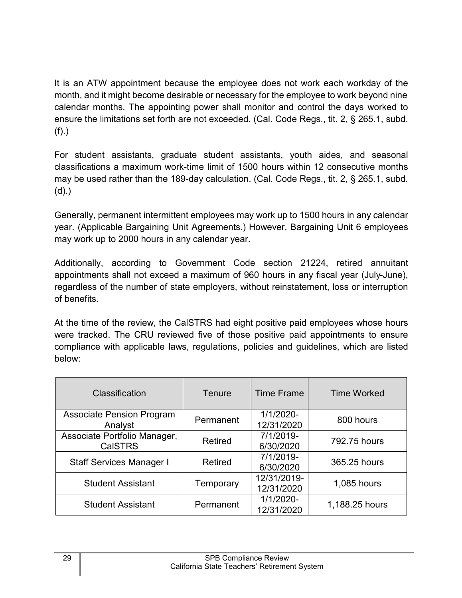It is an ATW appointment because the employee does not work each workday of the month, and it might become desirable or necessary for the employee to work beyond nine calendar months. The appointing power shall monitor and control the days worked to ensure the limitations set forth are not exceeded. (Cal. Code Regs., tit. 2, § 265.1, subd. (f).)

For student assistants, graduate student assistants, youth aides, and seasonal classifications a maximum work-time limit of 1500 hours within 12 consecutive months may be used rather than the 189-day calculation. (Cal. Code Regs., tit. 2, § 265.1, subd. (d).)

Generally, permanent intermittent employees may work up to 1500 hours in any calendar year. (Applicable Bargaining Unit Agreements.) However, Bargaining Unit 6 employees may work up to 2000 hours in any calendar year.

Additionally, according to Government Code section 21224, retired annuitant appointments shall not exceed a maximum of 960 hours in any fiscal year (July-June), regardless of the number of state employers, without reinstatement, loss or interruption of benefits.

At the time of the review, the CalSTRS had eight positive paid employees whose hours were tracked. The CRU reviewed five of those positive paid appointments to ensure compliance with applicable laws, regulations, policies and guidelines, which are listed below:

| Classification                                 | Tenure         | <b>Time Frame</b>         | <b>Time Worked</b> |
|------------------------------------------------|----------------|---------------------------|--------------------|
| <b>Associate Pension Program</b><br>Analyst    | Permanent      | 1/1/2020-<br>12/31/2020   | 800 hours          |
| Associate Portfolio Manager,<br><b>CalSTRS</b> | <b>Retired</b> | 7/1/2019-<br>6/30/2020    | 792.75 hours       |
| <b>Staff Services Manager I</b>                | <b>Retired</b> | 7/1/2019-<br>6/30/2020    | 365.25 hours       |
| <b>Student Assistant</b>                       | Temporary      | 12/31/2019-<br>12/31/2020 | 1,085 hours        |
| <b>Student Assistant</b>                       | Permanent      | 1/1/2020-<br>12/31/2020   | 1,188.25 hours     |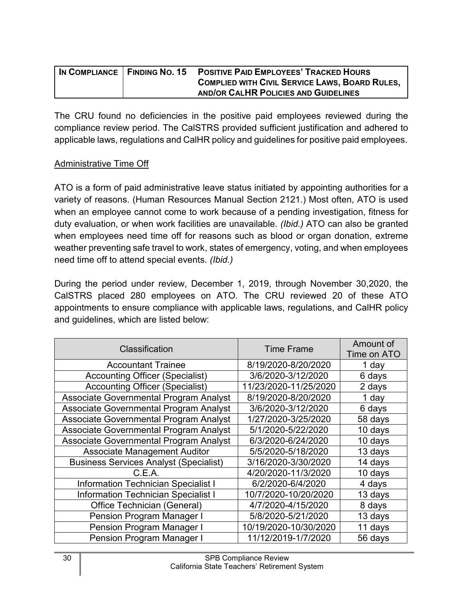|  | IN COMPLIANCE   FINDING NO. 15 POSITIVE PAID EMPLOYEES' TRACKED HOURS |
|--|-----------------------------------------------------------------------|
|  | <b>COMPLIED WITH CIVIL SERVICE LAWS, BOARD RULES,</b>                 |
|  | AND/OR CALHR POLICIES AND GUIDELINES                                  |

The CRU found no deficiencies in the positive paid employees reviewed during the compliance review period. The CalSTRS provided sufficient justification and adhered to applicable laws, regulations and CalHR policy and guidelines for positive paid employees.

#### Administrative Time Off

ATO is a form of paid administrative leave status initiated by appointing authorities for a variety of reasons. (Human Resources Manual Section 2121.) Most often, ATO is used when an employee cannot come to work because of a pending investigation, fitness for duty evaluation, or when work facilities are unavailable. *(Ibid.)* ATO can also be granted when employees need time off for reasons such as blood or organ donation, extreme weather preventing safe travel to work, states of emergency, voting, and when employees need time off to attend special events. *(Ibid.)* 

During the period under review, December 1, 2019, through November 30,2020, the CalSTRS placed 280 employees on ATO. The CRU reviewed 20 of these ATO appointments to ensure compliance with applicable laws, regulations, and CalHR policy and guidelines, which are listed below:

| Classification                                | <b>Time Frame</b>     | Amount of<br>Time on ATO |
|-----------------------------------------------|-----------------------|--------------------------|
| <b>Accountant Trainee</b>                     | 8/19/2020-8/20/2020   | 1 day                    |
| <b>Accounting Officer (Specialist)</b>        | 3/6/2020-3/12/2020    | 6 days                   |
| <b>Accounting Officer (Specialist)</b>        | 11/23/2020-11/25/2020 | 2 days                   |
| Associate Governmental Program Analyst        | 8/19/2020-8/20/2020   | 1 day                    |
| Associate Governmental Program Analyst        | 3/6/2020-3/12/2020    | 6 days                   |
| Associate Governmental Program Analyst        | 1/27/2020-3/25/2020   | 58 days                  |
| Associate Governmental Program Analyst        | 5/1/2020-5/22/2020    | 10 days                  |
| Associate Governmental Program Analyst        | 6/3/2020-6/24/2020    | 10 days                  |
| <b>Associate Management Auditor</b>           | 5/5/2020-5/18/2020    | 13 days                  |
| <b>Business Services Analyst (Specialist)</b> | 3/16/2020-3/30/2020   | 14 days                  |
| C.E.A.                                        | 4/20/2020-11/3/2020   | 10 days                  |
| <b>Information Technician Specialist I</b>    | 6/2/2020-6/4/2020     | 4 days                   |
| <b>Information Technician Specialist I</b>    | 10/7/2020-10/20/2020  | 13 days                  |
| Office Technician (General)                   | 4/7/2020-4/15/2020    | 8 days                   |
| Pension Program Manager I                     | 5/8/2020-5/21/2020    | 13 days                  |
| Pension Program Manager I                     | 10/19/2020-10/30/2020 | 11 days                  |
| Pension Program Manager I                     | 11/12/2019-1/7/2020   | 56 days                  |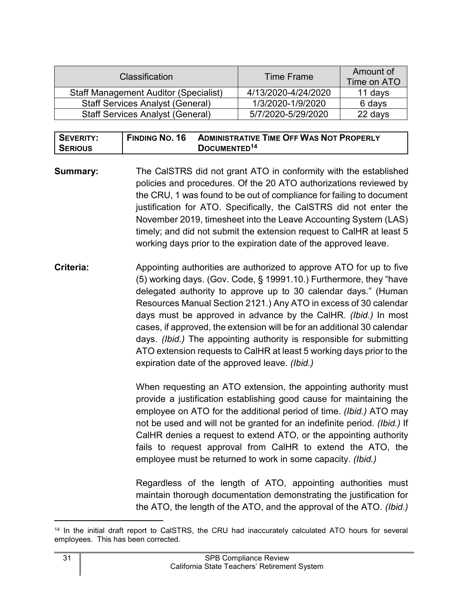| <b>Classification</b>                        | Time Frame          | Amount of<br>Time on ATO |
|----------------------------------------------|---------------------|--------------------------|
| <b>Staff Management Auditor (Specialist)</b> | 4/13/2020-4/24/2020 | 11 days                  |
| <b>Staff Services Analyst (General)</b>      | 1/3/2020-1/9/2020   | 6 days                   |
| <b>Staff Services Analyst (General)</b>      | 5/7/2020-5/29/2020  | 22 days                  |

| SEVERITY:      | <b>FINDING NO. 16</b> | <b>ADMINISTRATIVE TIME OFF WAS NOT PROPERLY</b> |
|----------------|-----------------------|-------------------------------------------------|
| <b>SERIOUS</b> |                       | DOCUMENTED <sup>14</sup>                        |

**Summary:** The CalSTRS did not grant ATO in conformity with the established policies and procedures. Of the 20 ATO authorizations reviewed by the CRU, 1 was found to be out of compliance for failing to document justification for ATO. Specifically, the CalSTRS did not enter the November 2019, timesheet into the Leave Accounting System (LAS) timely; and did not submit the extension request to CalHR at least 5 working days prior to the expiration date of the approved leave.

**Criteria:** Appointing authorities are authorized to approve ATO for up to five (5) working days. (Gov. Code, § 19991.10.) Furthermore, they "have delegated authority to approve up to 30 calendar days." (Human Resources Manual Section 2121.) Any ATO in excess of 30 calendar days must be approved in advance by the CalHR. *(Ibid.)* In most cases, if approved, the extension will be for an additional 30 calendar days. *(Ibid.)* The appointing authority is responsible for submitting ATO extension requests to CalHR at least 5 working days prior to the expiration date of the approved leave. *(Ibid.)*

> When requesting an ATO extension, the appointing authority must provide a justification establishing good cause for maintaining the employee on ATO for the additional period of time. *(Ibid.)* ATO may not be used and will not be granted for an indefinite period. *(Ibid.)* If CalHR denies a request to extend ATO, or the appointing authority fails to request approval from CalHR to extend the ATO, the employee must be returned to work in some capacity. *(Ibid.)*

> Regardless of the length of ATO, appointing authorities must maintain thorough documentation demonstrating the justification for the ATO, the length of the ATO, and the approval of the ATO. *(Ibid.)*

<span id="page-32-0"></span><sup>14</sup> In the initial draft report to CalSTRS, the CRU had inaccurately calculated ATO hours for several employees. This has been corrected.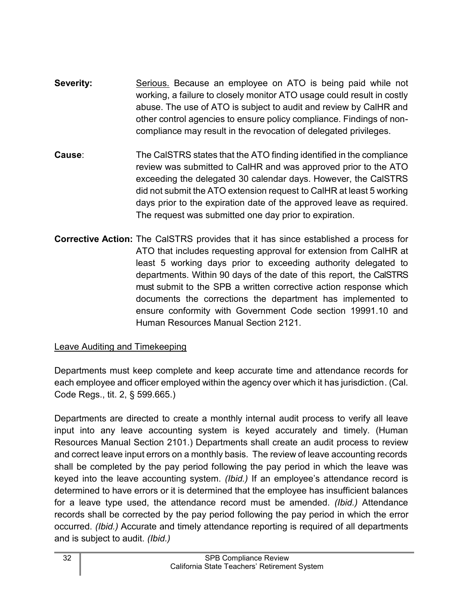- **Severity:** Serious. Because an employee on ATO is being paid while not working, a failure to closely monitor ATO usage could result in costly abuse. The use of ATO is subject to audit and review by CalHR and other control agencies to ensure policy compliance. Findings of noncompliance may result in the revocation of delegated privileges.
- **Cause**: The CalSTRS states that the ATO finding identified in the compliance review was submitted to CalHR and was approved prior to the ATO exceeding the delegated 30 calendar days. However, the CalSTRS did not submit the ATO extension request to CalHR at least 5 working days prior to the expiration date of the approved leave as required. The request was submitted one day prior to expiration.
- **Corrective Action:** The CalSTRS provides that it has since established a process for ATO that includes requesting approval for extension from CalHR at least 5 working days prior to exceeding authority delegated to departments. Within 90 days of the date of this report, the CalSTRS must submit to the SPB a written corrective action response which documents the corrections the department has implemented to ensure conformity with Government Code section 19991.10 and Human Resources Manual Section 2121.

# Leave Auditing and Timekeeping

Departments must keep complete and keep accurate time and attendance records for each employee and officer employed within the agency over which it has jurisdiction. (Cal. Code Regs., tit. 2, § 599.665.)

Departments are directed to create a monthly internal audit process to verify all leave input into any leave accounting system is keyed accurately and timely. (Human Resources Manual Section 2101.) Departments shall create an audit process to review and correct leave input errors on a monthly basis. The review of leave accounting records shall be completed by the pay period following the pay period in which the leave was keyed into the leave accounting system. *(Ibid.)* If an employee's attendance record is determined to have errors or it is determined that the employee has insufficient balances for a leave type used, the attendance record must be amended. *(Ibid.)* Attendance records shall be corrected by the pay period following the pay period in which the error occurred. *(Ibid.)* Accurate and timely attendance reporting is required of all departments and is subject to audit. *(Ibid.)*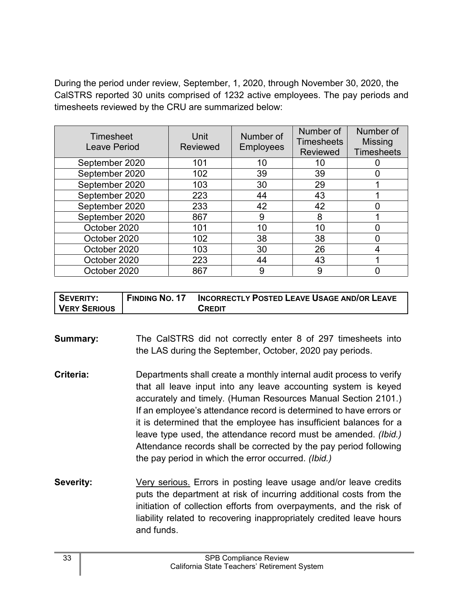During the period under review, September, 1, 2020, through November 30, 2020, the CalSTRS reported 30 units comprised of 1232 active employees. The pay periods and timesheets reviewed by the CRU are summarized below:

| Timesheet<br><b>Leave Period</b> | Unit<br><b>Reviewed</b> | Number of<br><b>Employees</b> | Number of<br><b>Timesheets</b><br><b>Reviewed</b> | Number of<br><b>Missing</b><br><b>Timesheets</b> |
|----------------------------------|-------------------------|-------------------------------|---------------------------------------------------|--------------------------------------------------|
| September 2020                   | 101                     | 10                            | 10                                                |                                                  |
| September 2020                   | 102                     | 39                            | 39                                                |                                                  |
| September 2020                   | 103                     | 30                            | 29                                                |                                                  |
| September 2020                   | 223                     | 44                            | 43                                                |                                                  |
| September 2020                   | 233                     | 42                            | 42                                                |                                                  |
| September 2020                   | 867                     | 9                             | 8                                                 |                                                  |
| October 2020                     | 101                     | 10                            | 10                                                |                                                  |
| October 2020                     | 102                     | 38                            | 38                                                |                                                  |
| October 2020                     | 103                     | 30                            | 26                                                |                                                  |
| October 2020                     | 223                     | 44                            | 43                                                |                                                  |
| October 2020                     | 867                     | 9                             | 9                                                 |                                                  |

| SEVERITY:    | <b>FINDING NO. 17</b> | <b>INCORRECTLY POSTED LEAVE USAGE AND/OR LEAVE</b> |
|--------------|-----------------------|----------------------------------------------------|
| VERY SERIOUS |                       | CREDIT                                             |

**Summary:** The CalSTRS did not correctly enter 8 of 297 timesheets into the LAS during the September, October, 2020 pay periods.

- **Criteria:** Departments shall create a monthly internal audit process to verify that all leave input into any leave accounting system is keyed accurately and timely. (Human Resources Manual Section 2101.) If an employee's attendance record is determined to have errors or it is determined that the employee has insufficient balances for a leave type used, the attendance record must be amended. *(Ibid.)* Attendance records shall be corrected by the pay period following the pay period in which the error occurred. *(Ibid.)*
- **Severity:** Very serious. Errors in posting leave usage and/or leave credits puts the department at risk of incurring additional costs from the initiation of collection efforts from overpayments, and the risk of liability related to recovering inappropriately credited leave hours and funds.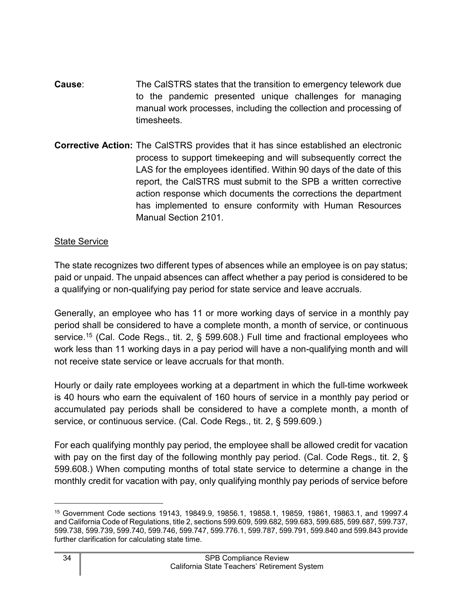- **Cause**: The CalSTRS states that the transition to emergency telework due to the pandemic presented unique challenges for managing manual work processes, including the collection and processing of timesheets.
- **Corrective Action:** The CalSTRS provides that it has since established an electronic process to support timekeeping and will subsequently correct the LAS for the employees identified. Within 90 days of the date of this report, the CalSTRS must submit to the SPB a written corrective action response which documents the corrections the department has implemented to ensure conformity with Human Resources Manual Section 2101.

#### State Service

The state recognizes two different types of absences while an employee is on pay status; paid or unpaid. The unpaid absences can affect whether a pay period is considered to be a qualifying or non-qualifying pay period for state service and leave accruals.

Generally, an employee who has 11 or more working days of service in a monthly pay period shall be considered to have a complete month, a month of service, or continuous service. [15](#page-35-0) (Cal. Code Regs., tit. 2, § 599.608.) Full time and fractional employees who work less than 11 working days in a pay period will have a non-qualifying month and will not receive state service or leave accruals for that month.

Hourly or daily rate employees working at a department in which the full-time workweek is 40 hours who earn the equivalent of 160 hours of service in a monthly pay period or accumulated pay periods shall be considered to have a complete month, a month of service, or continuous service. (Cal. Code Regs., tit. 2, § 599.609.)

For each qualifying monthly pay period, the employee shall be allowed credit for vacation with pay on the first day of the following monthly pay period. (Cal. Code Regs., tit. 2, § 599.608.) When computing months of total state service to determine a change in the monthly credit for vacation with pay, only qualifying monthly pay periods of service before

<span id="page-35-0"></span><sup>15</sup> Government Code sections 19143, 19849.9, 19856.1, 19858.1, 19859, 19861, 19863.1, and 19997.4 and California Code of Regulations, title 2, sections 599.609, 599.682, 599.683, 599.685, 599.687, 599.737, 599.738, 599.739, 599.740, 599.746, 599.747, 599.776.1, 599.787, 599.791, 599.840 and 599.843 provide further clarification for calculating state time.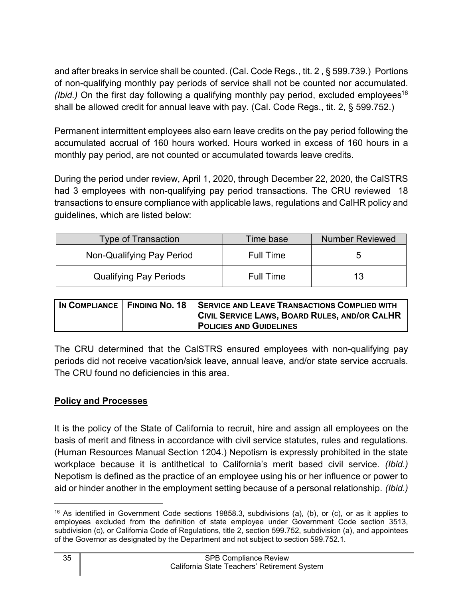and after breaks in service shall be counted. (Cal. Code Regs., tit. 2 , § 599.739.) Portions of non-qualifying monthly pay periods of service shall not be counted nor accumulated. *(Ibid.)* On the first day following a qualifying monthly pay period, excluded employees<sup>[16](#page-36-1)</sup> shall be allowed credit for annual leave with pay. (Cal. Code Regs., tit. 2, § 599.752.)

Permanent intermittent employees also earn leave credits on the pay period following the accumulated accrual of 160 hours worked. Hours worked in excess of 160 hours in a monthly pay period, are not counted or accumulated towards leave credits.

During the period under review, April 1, 2020, through December 22, 2020, the CalSTRS had 3 employees with non-qualifying pay period transactions. The CRU reviewed 18 transactions to ensure compliance with applicable laws, regulations and CalHR policy and guidelines, which are listed below:

| <b>Type of Transaction</b>    | Time base        | <b>Number Reviewed</b> |
|-------------------------------|------------------|------------------------|
| Non-Qualifying Pay Period     | Full Time        | b                      |
| <b>Qualifying Pay Periods</b> | <b>Full Time</b> | 13                     |

| IN COMPLIANCE   FINDING NO. 18 | <b>SERVICE AND LEAVE TRANSACTIONS COMPLIED WITH</b> |
|--------------------------------|-----------------------------------------------------|
|                                | CIVIL SERVICE LAWS, BOARD RULES, AND/OR CALHR       |
|                                | <b>POLICIES AND GUIDELINES</b>                      |

The CRU determined that the CalSTRS ensured employees with non-qualifying pay periods did not receive vacation/sick leave, annual leave, and/or state service accruals. The CRU found no deficiencies in this area.

# <span id="page-36-0"></span>**Policy and Processes**

It is the policy of the State of California to recruit, hire and assign all employees on the basis of merit and fitness in accordance with civil service statutes, rules and regulations. (Human Resources Manual Section 1204.) Nepotism is expressly prohibited in the state workplace because it is antithetical to California's merit based civil service. *(Ibid.)* Nepotism is defined as the practice of an employee using his or her influence or power to aid or hinder another in the employment setting because of a personal relationship. *(Ibid.)*

<span id="page-36-1"></span><sup>16</sup> As identified in Government Code sections 19858.3, subdivisions (a), (b), or (c), or as it applies to employees excluded from the definition of state employee under Government Code section 3513, subdivision (c), or California Code of Regulations, title 2, section 599.752, subdivision (a), and appointees of the Governor as designated by the Department and not subject to section 599.752.1.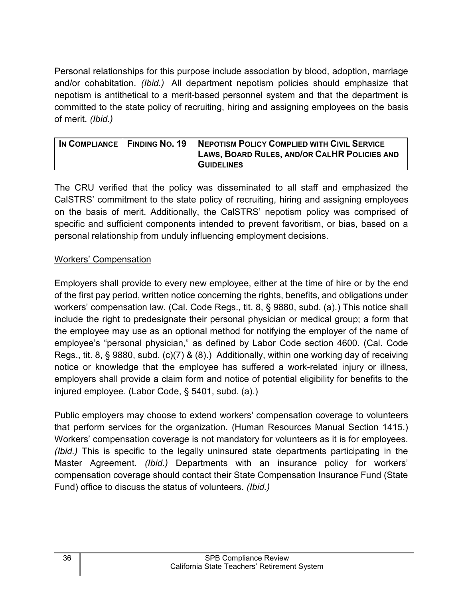Personal relationships for this purpose include association by blood, adoption, marriage and/or cohabitation. *(Ibid.)* All department nepotism policies should emphasize that nepotism is antithetical to a merit-based personnel system and that the department is committed to the state policy of recruiting, hiring and assigning employees on the basis of merit. *(Ibid.)*

| IN COMPLIANCE   FINDING NO. 19 | <b>NEPOTISM POLICY COMPLIED WITH CIVIL SERVICE</b> |
|--------------------------------|----------------------------------------------------|
|                                | LAWS, BOARD RULES, AND/OR CALHR POLICIES AND       |
|                                | <b>GUIDELINES</b>                                  |

The CRU verified that the policy was disseminated to all staff and emphasized the CalSTRS' commitment to the state policy of recruiting, hiring and assigning employees on the basis of merit. Additionally, the CalSTRS' nepotism policy was comprised of specific and sufficient components intended to prevent favoritism, or bias, based on a personal relationship from unduly influencing employment decisions.

#### Workers' Compensation

Employers shall provide to every new employee, either at the time of hire or by the end of the first pay period, written notice concerning the rights, benefits, and obligations under workers' compensation law. (Cal. Code Regs., tit. 8, § 9880, subd. (a).) This notice shall include the right to predesignate their personal physician or medical group; a form that the employee may use as an optional method for notifying the employer of the name of employee's "personal physician," as defined by Labor Code section 4600. (Cal. Code Regs., tit. 8, § 9880, subd. (c)(7) & (8).) Additionally, within one working day of receiving notice or knowledge that the employee has suffered a work-related injury or illness, employers shall provide a claim form and notice of potential eligibility for benefits to the injured employee. (Labor Code, § 5401, subd. (a).)

Public employers may choose to extend workers' compensation coverage to volunteers that perform services for the organization. (Human Resources Manual Section 1415.) Workers' compensation coverage is not mandatory for volunteers as it is for employees. *(Ibid.)* This is specific to the legally uninsured state departments participating in the Master Agreement. *(Ibid.)* Departments with an insurance policy for workers' compensation coverage should contact their State Compensation Insurance Fund (State Fund) office to discuss the status of volunteers. *(Ibid.)*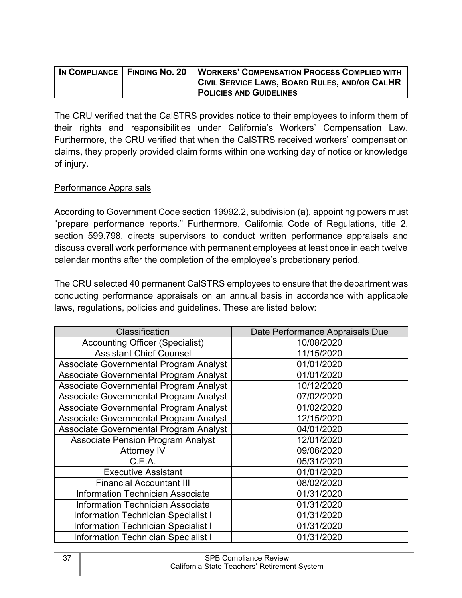| IN COMPLIANCE   FINDING NO. 20 | <b>WORKERS' COMPENSATION PROCESS COMPLIED WITH</b> |
|--------------------------------|----------------------------------------------------|
|                                | CIVIL SERVICE LAWS, BOARD RULES, AND/OR CALHR      |
|                                | <b>POLICIES AND GUIDELINES</b>                     |

The CRU verified that the CalSTRS provides notice to their employees to inform them of their rights and responsibilities under California's Workers' Compensation Law. Furthermore, the CRU verified that when the CalSTRS received workers' compensation claims, they properly provided claim forms within one working day of notice or knowledge of injury.

#### Performance Appraisals

According to Government Code section 19992.2, subdivision (a), appointing powers must "prepare performance reports." Furthermore, California Code of Regulations, title 2, section 599.798, directs supervisors to conduct written performance appraisals and discuss overall work performance with permanent employees at least once in each twelve calendar months after the completion of the employee's probationary period.

The CRU selected 40 permanent CalSTRS employees to ensure that the department was conducting performance appraisals on an annual basis in accordance with applicable laws, regulations, policies and guidelines. These are listed below:

| Classification                                | Date Performance Appraisals Due |
|-----------------------------------------------|---------------------------------|
| <b>Accounting Officer (Specialist)</b>        | 10/08/2020                      |
| <b>Assistant Chief Counsel</b>                | 11/15/2020                      |
| Associate Governmental Program Analyst        | 01/01/2020                      |
| Associate Governmental Program Analyst        | 01/01/2020                      |
| Associate Governmental Program Analyst        | 10/12/2020                      |
| Associate Governmental Program Analyst        | 07/02/2020                      |
| Associate Governmental Program Analyst        | 01/02/2020                      |
| <b>Associate Governmental Program Analyst</b> | 12/15/2020                      |
| Associate Governmental Program Analyst        | 04/01/2020                      |
| <b>Associate Pension Program Analyst</b>      | 12/01/2020                      |
| <b>Attorney IV</b>                            | 09/06/2020                      |
| C.E.A.                                        | 05/31/2020                      |
| <b>Executive Assistant</b>                    | 01/01/2020                      |
| <b>Financial Accountant III</b>               | 08/02/2020                      |
| <b>Information Technician Associate</b>       | 01/31/2020                      |
| <b>Information Technician Associate</b>       | 01/31/2020                      |
| <b>Information Technician Specialist I</b>    | 01/31/2020                      |
| <b>Information Technician Specialist I</b>    | 01/31/2020                      |
| <b>Information Technician Specialist I</b>    | 01/31/2020                      |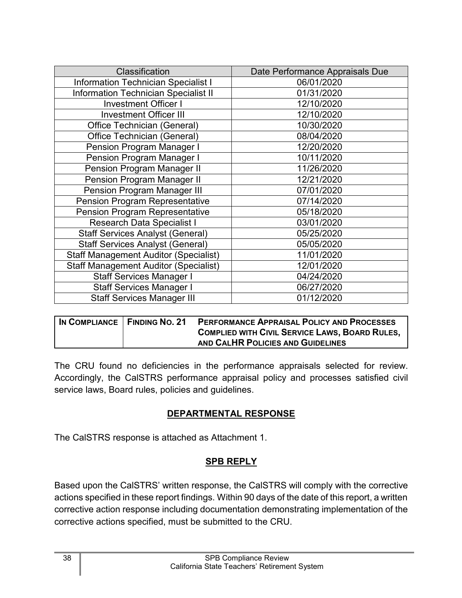| <b>Classification</b>                        | Date Performance Appraisals Due |  |
|----------------------------------------------|---------------------------------|--|
| <b>Information Technician Specialist I</b>   | 06/01/2020                      |  |
| <b>Information Technician Specialist II</b>  | 01/31/2020                      |  |
| <b>Investment Officer I</b>                  | 12/10/2020                      |  |
| <b>Investment Officer III</b>                | 12/10/2020                      |  |
| <b>Office Technician (General)</b>           | 10/30/2020                      |  |
| Office Technician (General)                  | 08/04/2020                      |  |
| <b>Pension Program Manager I</b>             | 12/20/2020                      |  |
| <b>Pension Program Manager I</b>             | 10/11/2020                      |  |
| <b>Pension Program Manager II</b>            | 11/26/2020                      |  |
| <b>Pension Program Manager II</b>            | 12/21/2020                      |  |
| <b>Pension Program Manager III</b>           | 07/01/2020                      |  |
| <b>Pension Program Representative</b>        | 07/14/2020                      |  |
| <b>Pension Program Representative</b>        | 05/18/2020                      |  |
| <b>Research Data Specialist I</b>            | 03/01/2020                      |  |
| <b>Staff Services Analyst (General)</b>      | 05/25/2020                      |  |
| <b>Staff Services Analyst (General)</b>      | 05/05/2020                      |  |
| <b>Staff Management Auditor (Specialist)</b> | 11/01/2020                      |  |
| <b>Staff Management Auditor (Specialist)</b> | 12/01/2020                      |  |
| <b>Staff Services Manager I</b>              | 04/24/2020                      |  |
| <b>Staff Services Manager I</b>              | 06/27/2020                      |  |
| <b>Staff Services Manager III</b>            | 01/12/2020                      |  |

| IN COMPLIANCE FINDING NO. 21 | <b>PERFORMANCE APPRAISAL POLICY AND PROCESSES</b>     |
|------------------------------|-------------------------------------------------------|
|                              | <b>COMPLIED WITH CIVIL SERVICE LAWS, BOARD RULES,</b> |
|                              | AND CALHR POLICIES AND GUIDELINES                     |

The CRU found no deficiencies in the performance appraisals selected for review. Accordingly, the CalSTRS performance appraisal policy and processes satisfied civil service laws, Board rules, policies and guidelines.

# **DEPARTMENTAL RESPONSE**

<span id="page-39-1"></span><span id="page-39-0"></span>The CalSTRS response is attached as Attachment 1.

# **SPB REPLY**

Based upon the CalSTRS' written response, the CalSTRS will comply with the corrective actions specified in these report findings. Within 90 days of the date of this report, a written corrective action response including documentation demonstrating implementation of the corrective actions specified, must be submitted to the CRU.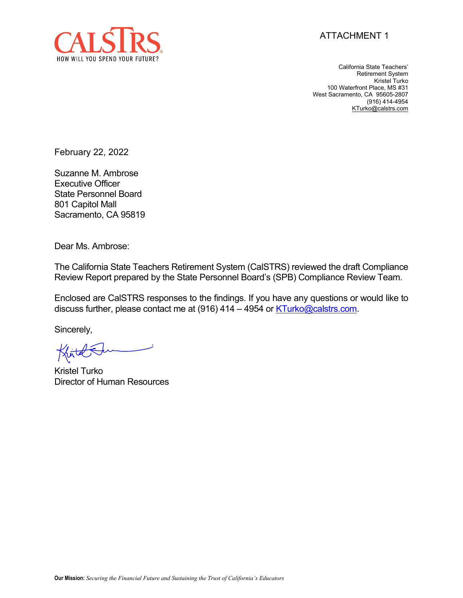



California State Teachers' Retirement System Kristel Turko 100 Waterfront Place, MS #31 West Sacramento, CA 95605-2807 (916) 414-4954 [KTurko@calstrs.com](mailto:KTurko@calstrs.com)

February 22, 2022

Suzanne M. Ambrose Executive Officer State Personnel Board 801 Capitol Mall Sacramento, CA 95819

Dear Ms. Ambrose:

The California State Teachers Retirement System (CalSTRS) reviewed the draft Compliance Review Report prepared by the State Personnel Board's (SPB) Compliance Review Team.

Enclosed are CalSTRS responses to the findings. If you have any questions or would like to discuss further, please contact me at (916) 414 – 4954 or [KTurko@calstrs.com.](mailto:KTurko@calstrs.com)

Sincerely,

Kristel Turko Director of Human Resources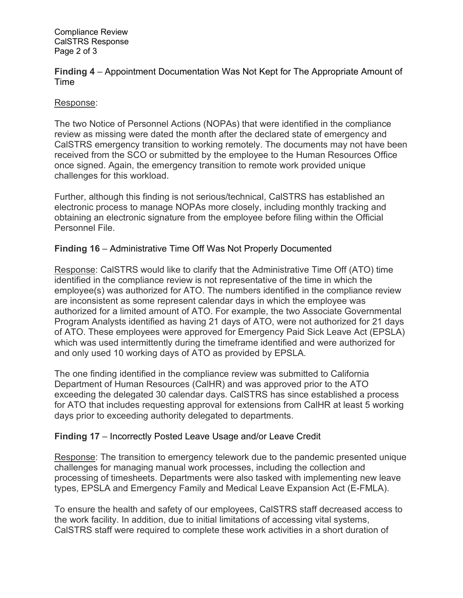Compliance Review CalSTRS Response Page 2 of 3

**Finding 4** – Appointment Documentation Was Not Kept for The Appropriate Amount of Time

#### Response:

The two Notice of Personnel Actions (NOPAs) that were identified in the compliance review as missing were dated the month after the declared state of emergency and CalSTRS emergency transition to working remotely. The documents may not have been received from the SCO or submitted by the employee to the Human Resources Office once signed. Again, the emergency transition to remote work provided unique challenges for this workload.

Further, although this finding is not serious/technical, CalSTRS has established an electronic process to manage NOPAs more closely, including monthly tracking and obtaining an electronic signature from the employee before filing within the Official Personnel File.

#### **Finding 16** – Administrative Time Off Was Not Properly Documented

Response: CalSTRS would like to clarify that the Administrative Time Off (ATO) time identified in the compliance review is not representative of the time in which the employee(s) was authorized for ATO. The numbers identified in the compliance review are inconsistent as some represent calendar days in which the employee was authorized for a limited amount of ATO. For example, the two Associate Governmental Program Analysts identified as having 21 days of ATO, were not authorized for 21 days of ATO. These employees were approved for Emergency Paid Sick Leave Act (EPSLA) which was used intermittently during the timeframe identified and were authorized for and only used 10 working days of ATO as provided by EPSLA.

The one finding identified in the compliance review was submitted to California Department of Human Resources (CalHR) and was approved prior to the ATO exceeding the delegated 30 calendar days. CalSTRS has since established a process for ATO that includes requesting approval for extensions from CalHR at least 5 working days prior to exceeding authority delegated to departments.

#### **Finding 17** – Incorrectly Posted Leave Usage and/or Leave Credit

Response: The transition to emergency telework due to the pandemic presented unique challenges for managing manual work processes, including the collection and processing of timesheets. Departments were also tasked with implementing new leave types, EPSLA and Emergency Family and Medical Leave Expansion Act (E-FMLA).

To ensure the health and safety of our employees, CalSTRS staff decreased access to the work facility. In addition, due to initial limitations of accessing vital systems, CalSTRS staff were required to complete these work activities in a short duration of